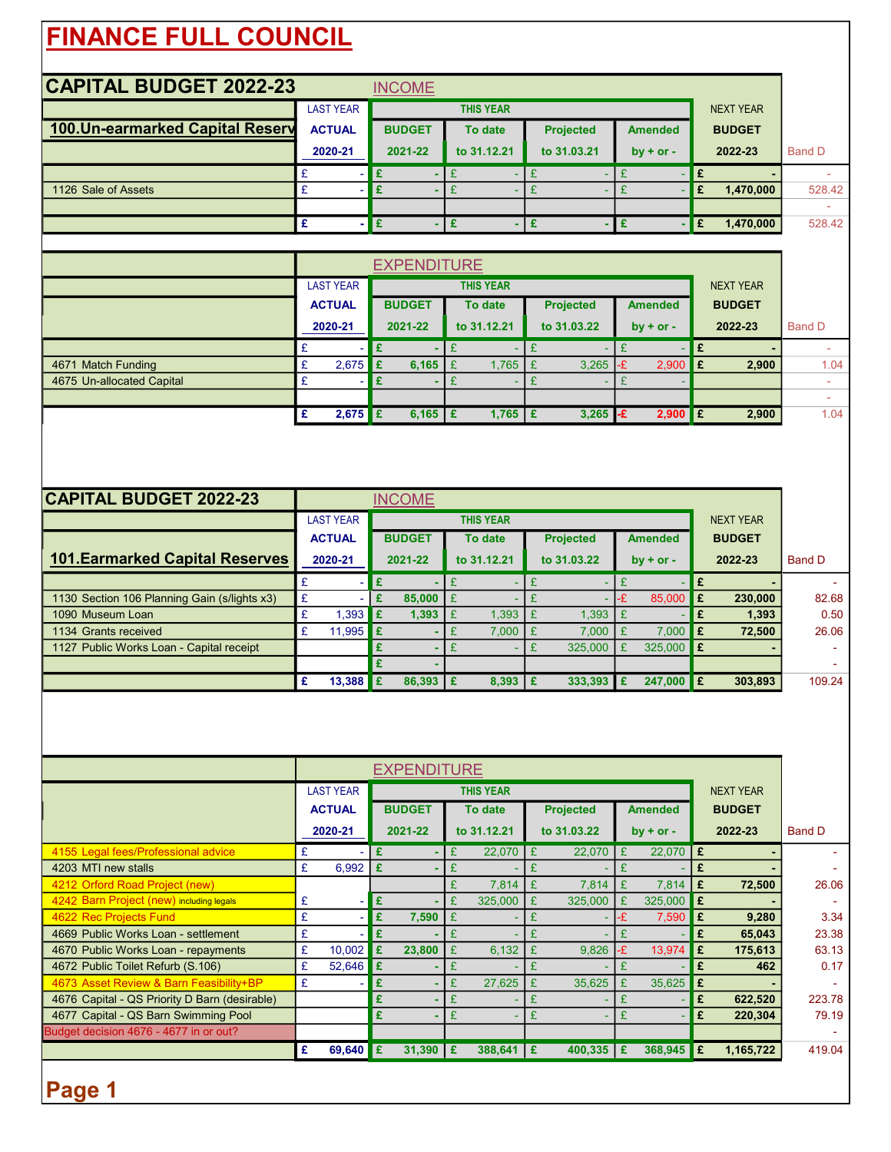# FINANCE FULL COUNCIL

|                          | <b>INCOME</b>                                                            |                  |                  |                |                  |               |
|--------------------------|--------------------------------------------------------------------------|------------------|------------------|----------------|------------------|---------------|
| <b>LAST YEAR</b>         |                                                                          | <b>THIS YEAR</b> |                  |                | <b>NEXT YEAR</b> |               |
| <b>ACTUAL</b>            | <b>BUDGET</b>                                                            | To date          | <b>Projected</b> | <b>Amended</b> | <b>BUDGET</b>    |               |
| 2020-21                  | 2021-22                                                                  | to 31.12.21      | to 31.03.21      | $by + or -$    | 2022-23          | <b>Band D</b> |
| $\overline{\phantom{a}}$ |                                                                          |                  |                  |                |                  |               |
| <b>COL</b>               |                                                                          |                  | - 1              | ÷              | 1,470,000<br>ш   | 528.42        |
|                          |                                                                          |                  |                  |                |                  |               |
|                          |                                                                          |                  |                  | ۰.             | 1,470,000<br>١£  | 528.42        |
|                          | <b>CAPITAL BUDGET 2022-23</b><br><b>100. Un-earmarked Capital Reserv</b> | - 86             |                  |                |                  |               |

|                           |                  | <b>EXPENDITURE</b> |                  |                           |                |                  |               |
|---------------------------|------------------|--------------------|------------------|---------------------------|----------------|------------------|---------------|
|                           | <b>LAST YEAR</b> |                    | <b>THIS YEAR</b> |                           |                | <b>NEXT YEAR</b> |               |
|                           | <b>ACTUAL</b>    | <b>BUDGET</b>      | To date          | <b>Projected</b>          | <b>Amended</b> | <b>BUDGET</b>    |               |
|                           | 2020-21          | 2021-22            | to 31.12.21      | to 31,03,22               | $by + or -$    | 2022-23          | <b>Band D</b> |
|                           |                  |                    |                  |                           |                |                  |               |
| 4671 Match Funding        | $2,675$ £        | 6,165              | 1.765            | $3,265$ -£<br>I £         | $2,900$ E      | 2.900            | 1.04          |
| 4675 Un-allocated Capital |                  |                    |                  | . .                       |                |                  |               |
|                           |                  |                    |                  |                           |                |                  |               |
|                           | $2,675$ £<br>£   | 6,165   £          | 1,765   £        | 3,265 $\left  -E \right $ | $2,900$ £      | 2,900            | 1.04          |

| <b>CAPITAL BUDGET 2022-23</b>                |                  |    | <b>INCOME</b> |                  |   |                  |                |   |                  |        |
|----------------------------------------------|------------------|----|---------------|------------------|---|------------------|----------------|---|------------------|--------|
|                                              | <b>LAST YEAR</b> |    |               | <b>THIS YEAR</b> |   |                  |                |   | <b>NEXT YEAR</b> |        |
|                                              | <b>ACTUAL</b>    |    | <b>BUDGET</b> | To date          |   | <b>Projected</b> | <b>Amended</b> |   | <b>BUDGET</b>    |        |
| <b>101. Earmarked Capital Reserves</b>       | 2020-21          |    | 2021-22       | to 31.12.21      |   | to 31,03,22      | $by + or -$    |   | 2022-23          | Band D |
|                                              |                  |    |               |                  |   |                  |                |   |                  |        |
| 1130 Section 106 Planning Gain (s/lights x3) | £                |    | 85,000        |                  |   |                  | 85,000         | £ | 230,000          | 82.68  |
| 1090 Museum Loan                             | .393             |    | 1,393         | 1,393            |   | 1.393            |                |   | 1,393            | 0.50   |
| 1134 Grants received                         | 11,995           | ١£ |               | 7,000            |   | 7.000            | 7.000          | £ | 72.500           | 26.06  |
| 1127 Public Works Loan - Capital receipt     |                  |    |               |                  |   | 325,000          | 325,000 $E$    |   |                  |        |
|                                              |                  |    |               |                  |   |                  |                |   |                  | ۰      |
|                                              | £<br>13,388      | ١£ | 86,393        | 8,393            | £ | $333.393$ E      | $247,000$ £    |   | 303.893          | 109.24 |

|                                               |   |                  |    | <b>EXPENDITURE</b> |   |                  |   |                  |    |                |   |                  |        |
|-----------------------------------------------|---|------------------|----|--------------------|---|------------------|---|------------------|----|----------------|---|------------------|--------|
|                                               |   | <b>LAST YEAR</b> |    |                    |   | <b>THIS YEAR</b> |   |                  |    |                |   | <b>NEXT YEAR</b> |        |
|                                               |   | <b>ACTUAL</b>    |    | <b>BUDGET</b>      |   | To date          |   | <b>Projected</b> |    | <b>Amended</b> |   | <b>BUDGET</b>    |        |
|                                               |   | 2020-21          |    | 2021-22            |   | to 31.12.21      |   | to 31.03.22      |    | $by + or -$    |   | 2022-23          | Band D |
| 4155 Legal fees/Professional advice           | £ |                  | £  |                    | £ | 22,070           | £ | 22,070           | £  | 22,070         | £ |                  |        |
| 4203 MTI new stalls                           | £ | 6,992            | £  |                    | £ |                  |   |                  | £. |                | £ |                  |        |
| 4212 Orford Road Project (new)                |   |                  |    |                    | £ | 7,814            | £ | 7,814            | £  | 7,814          | £ | 72,500           | 26.06  |
| 4242 Barn Project (new) including legals      | £ |                  | £  |                    | £ | 325,000          | £ | 325,000          | £  | 325,000        | £ |                  |        |
| 4622 Rec Projects Fund                        | £ |                  | Æ  | 7,590              | £ |                  |   | ۰.               | ٠£ | 7,590          | £ | 9,280            | 3.34   |
| 4669 Public Works Loan - settlement           | £ |                  | £  |                    | £ |                  |   |                  | £  |                | £ | 65,043           | 23.38  |
| 4670 Public Works Loan - repayments           | £ | 10,002           | ١£ | 23,800             | £ | 6,132            | £ | 9,826            | -£ | 13,974         | £ | 175,613          | 63.13  |
| 4672 Public Toilet Refurb (S.106)             | £ | $52,646$ £       |    |                    | £ |                  |   |                  | £  |                | £ | 462              | 0.17   |
| 4673 Asset Review & Barn Feasibility+BP       | £ | ٠                | £  |                    | £ | 27,625           | £ | 35,625           | £  | 35,625         | £ |                  |        |
| 4676 Capital - QS Priority D Barn (desirable) |   |                  | £  |                    | £ |                  |   |                  | £  |                | £ | 622,520          | 223.78 |
| 4677 Capital - QS Barn Swimming Pool          |   |                  | £  | ٠                  | £ |                  |   |                  | £  |                | £ | 220,304          | 79.19  |
| Budget decision 4676 - 4677 in or out?        |   |                  |    |                    |   |                  |   |                  |    |                |   |                  |        |
|                                               | £ | 69,640 $E$       |    | 31,390   $E$       |   | $388,641$   £    |   | 400,335   £      |    | $368,945$ £    |   | 1,165,722        | 419.04 |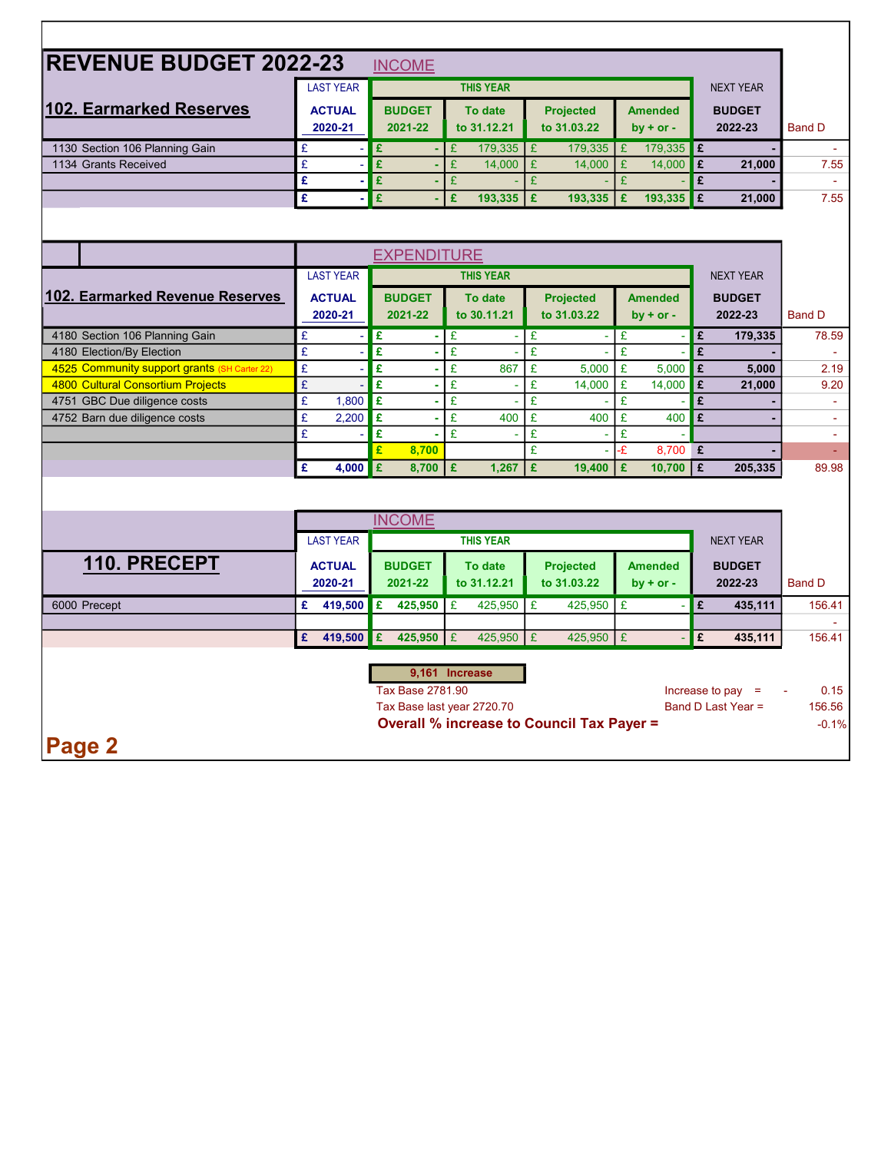| <b>REVENUE BUDGET 2022-23</b>                          |                         | <b>INCOME</b>                             |                            |                                                  |                             |                     |               |
|--------------------------------------------------------|-------------------------|-------------------------------------------|----------------------------|--------------------------------------------------|-----------------------------|---------------------|---------------|
|                                                        | <b>LAST YEAR</b>        |                                           | <b>THIS YEAR</b>           |                                                  |                             | <b>NEXT YEAR</b>    |               |
| 102. Earmarked Reserves                                | <b>ACTUAL</b>           | <b>BUDGET</b>                             | To date                    | <b>Projected</b>                                 | <b>Amended</b>              | <b>BUDGET</b>       |               |
|                                                        | 2020-21                 | 2021-22                                   | to 31.12.21                | to 31.03.22                                      | by $+$ or $-$               | 2022-23             | <b>Band D</b> |
|                                                        | £                       |                                           | $\mathbf{E}$               | E<br>179,335                                     |                             | £                   |               |
| 1130 Section 106 Planning Gain<br>1134 Grants Received | $\mathbf{v}$<br>£<br>÷. | $\mathbf{f}$<br>$\blacksquare$<br>£<br>ä, | 179,335<br>£<br>14.000     | £<br>14.000                                      | 179,335<br>£<br>£<br>14.000 | £<br>21.000         | 7.55          |
|                                                        | £                       | £                                         | £                          | £                                                | £                           | £                   |               |
|                                                        | £                       | £                                         | £<br>193,335               | £<br>193,335                                     | £<br>193,335                | £<br>21,000         | 7.55          |
|                                                        |                         |                                           |                            |                                                  |                             |                     |               |
|                                                        |                         |                                           |                            |                                                  |                             |                     |               |
|                                                        |                         | <b>EXPENDITURE</b>                        |                            |                                                  |                             |                     |               |
|                                                        | <b>LAST YEAR</b>        |                                           | <b>THIS YEAR</b>           |                                                  |                             | <b>NEXT YEAR</b>    |               |
| 102. Earmarked Revenue Reserves                        | <b>ACTUAL</b>           | <b>BUDGET</b>                             | To date                    | <b>Projected</b>                                 | <b>Amended</b>              | <b>BUDGET</b>       |               |
|                                                        | 2020-21                 | 2021-22                                   | to 30.11.21                | to 31.03.22                                      | by $+$ or $-$               | 2022-23             | <b>Band D</b> |
| 4180 Section 106 Planning Gain                         | £<br>$\mathbf{v}$       | £<br>$\blacksquare$                       | £<br>L,                    | £<br>$\sim$                                      | £<br>$\omega$               | £<br>179,335        | 78.59         |
| 4180 Election/By Election                              | £<br>$\mathbf{v}$       | $\overline{\mathbf{f}}$<br>ä,             | £                          | £<br>÷.                                          | £                           | £                   |               |
| 4525 Community support grants (SH Carter 22)           | £                       | £<br>ä,                                   | £<br>867                   | £<br>5,000                                       | £<br>5,000                  | £<br>5,000          | 2.19          |
| 4800 Cultural Consortium Projects                      | $\overline{f}$          | £                                         | £                          | £<br>14.000                                      | £<br>14,000                 | £<br>21,000         | 9.20          |
| 4751 GBC Due diligence costs                           | £<br>1,800              | £<br>$\blacksquare$                       | £                          | £<br>÷                                           | £                           | £                   | $\sim$        |
| 4752 Barn due diligence costs                          | £<br>2,200              | £<br>ä,                                   | £<br>400                   | £<br>400                                         | £<br>400                    | £                   | ÷.            |
|                                                        | £                       | £                                         | £                          | £                                                | £                           |                     | ÷             |
|                                                        |                         | £<br>8.700                                |                            | £                                                | ٠£<br>8.700 £               |                     |               |
|                                                        | £<br>4.000              | £<br>8,700                                | £<br>1.267                 | £<br>19,400                                      | £<br>10,700                 | 205,335<br>£        | 89.98         |
|                                                        |                         |                                           |                            |                                                  |                             |                     |               |
|                                                        |                         |                                           |                            |                                                  |                             |                     |               |
|                                                        |                         | <b>INCOME</b>                             |                            |                                                  |                             |                     |               |
|                                                        | <b>LAST YEAR</b>        |                                           | <b>THIS YEAR</b>           |                                                  |                             | <b>NEXT YEAR</b>    |               |
| 110. PRECEPT                                           | <b>ACTUAL</b>           | <b>BUDGET</b>                             | To date                    | <b>Projected</b>                                 | <b>Amended</b>              | <b>BUDGET</b>       |               |
|                                                        | 2020-21                 | 2021-22                                   | to 31.12.21                | to 31.03.22                                      | by $+$ or $-$               | 2022-23             | <b>Band D</b> |
| 6000 Precept                                           | £<br>419,500            | £<br>425,950                              | £<br>425,950               | £<br>425,950                                     | £                           | £<br>435.111        | 156.41        |
|                                                        |                         |                                           |                            |                                                  |                             |                     |               |
|                                                        | £<br>419,500            | £<br>425,950                              | £<br>425.950               | £<br>425.950                                     | £                           | £<br>435.111        | 156.41        |
|                                                        |                         |                                           |                            |                                                  |                             |                     |               |
|                                                        |                         |                                           | 9,161 Increase             |                                                  |                             |                     |               |
|                                                        |                         | <b>Tax Base 2781.90</b>                   |                            |                                                  |                             | Increase to pay $=$ | 0.15          |
|                                                        |                         |                                           | Tax Base last year 2720.70 |                                                  |                             | Band D Last Year =  | 156.56        |
|                                                        |                         |                                           |                            | <b>Overall % increase to Council Tax Payer =</b> |                             |                     | $-0.1%$       |
|                                                        |                         |                                           |                            |                                                  |                             |                     |               |
| Page 2                                                 |                         |                                           |                            |                                                  |                             |                     |               |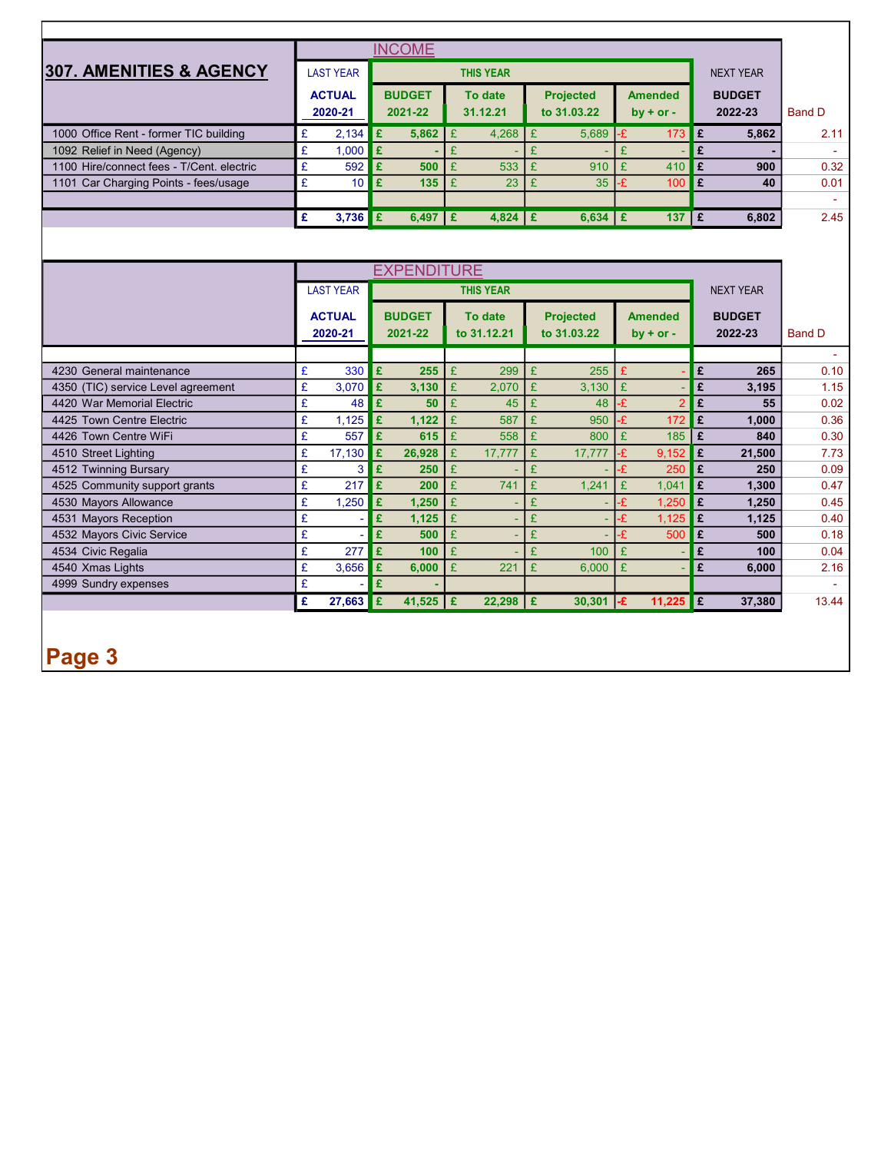|                                           |                                  |     | <b>INCOME</b>      |   |                  |     |                  |             |                |                         |                  |                  |
|-------------------------------------------|----------------------------------|-----|--------------------|---|------------------|-----|------------------|-------------|----------------|-------------------------|------------------|------------------|
| <b>307. AMENITIES &amp; AGENCY</b>        | <b>LAST YEAR</b>                 |     |                    |   | <b>THIS YEAR</b> |     |                  |             |                |                         | <b>NEXT YEAR</b> |                  |
|                                           | <b>ACTUAL</b>                    |     | <b>BUDGET</b>      |   | To date          |     | Projected        |             | <b>Amended</b> |                         | <b>BUDGET</b>    |                  |
|                                           | 2020-21                          |     | 2021-22            |   | 31.12.21         |     | to 31.03.22      |             | $bv + or -$    |                         | 2022-23          | <b>Band D</b>    |
| 1000 Office Rent - former TIC building    | £<br>2,134                       |     | £<br>5,862         | £ | 4,268            | £   | 5.689            | £           | 173            | E                       | 5.862            | 2.11             |
| 1092 Relief in Need (Agency)              | £<br>1,000                       |     | £                  | £ |                  | £   |                  | £           |                | $\overline{\mathbf{f}}$ |                  |                  |
| 1100 Hire/connect fees - T/Cent. electric | $\overline{\mathbf{f}}$          | 592 | E.<br>500          | £ | 533              | £   | 910              | £           | 410            | £                       | 900              | 0.32             |
| 1101 Car Charging Points - fees/usage     | £                                | 10  | £<br>135           | £ | 23               | £   | 35               | £           | 100            | £                       | 40               | 0.01             |
|                                           |                                  |     |                    |   |                  |     |                  |             |                |                         |                  |                  |
|                                           | £<br>3,736                       |     | E.<br>6,497        | £ | 4,824            | l £ | 6,634            | $\mathbf f$ | 137            | £                       | 6,802            | 2.45             |
|                                           |                                  |     |                    |   |                  |     |                  |             |                |                         |                  |                  |
|                                           |                                  |     |                    |   |                  |     |                  |             |                |                         |                  |                  |
|                                           |                                  |     | <b>EXPENDITURE</b> |   |                  |     |                  |             |                |                         |                  |                  |
|                                           | <b>LAST YEAR</b>                 |     |                    |   | <b>THIS YEAR</b> |     |                  |             |                |                         | <b>NEXT YEAR</b> |                  |
|                                           | <b>ACTUAL</b>                    |     | <b>BUDGET</b>      |   | To date          |     | <b>Projected</b> |             | <b>Amended</b> |                         | <b>BUDGET</b>    |                  |
|                                           | 2020-21                          |     | 2021-22            |   | to 31.12.21      |     | to 31.03.22      |             | $bv + or -$    |                         | 2022-23          | <b>Band D</b>    |
|                                           |                                  |     |                    |   |                  |     |                  |             |                |                         |                  |                  |
| 4230 General maintenance                  | £                                | 330 | E.<br>255          | £ | 299              | £   | 255              | £           |                | £                       | 265              | $\omega$<br>0.10 |
| 4350 (TIC) service Level agreement        | £<br>3,070                       |     | £<br>3,130         | £ | 2,070            | £   | 3,130            | £           |                | $\pmb{\mathfrak{E}}$    | 3,195            | 1.15             |
| 4420 War Memorial Electric                | £                                | 48  | £<br>50            | £ | 45               | £   | 48               | £           | $\overline{2}$ | £                       | 55               | 0.02             |
| 4425 Town Centre Electric                 | £<br>1,125                       |     | £<br>1,122         | £ | 587              | £   | 950              | £           | 172            | $\overline{\mathbf{f}}$ | 1,000            | 0.36             |
| 4426 Town Centre WiFi                     | £                                | 557 | £<br>615           | £ | 558              | £   | 800              | £           | 185            | £                       | 840              | 0.30             |
| 4510 Street Lighting                      | £<br>17,130                      |     | £<br>26,928        | £ | 17.777           | £   | 17,777           | £           | 9,152          | £                       | 21,500           | 7.73             |
| 4512 Twinning Bursary                     | £                                | 3   | £<br>250           | £ |                  | £   |                  | £           | 250            | £                       | 250              | 0.09             |
| 4525 Community support grants             | £                                | 217 | £<br>200           | £ | 741              | £   | 1,241            | £           | 1,041          | £                       | 1,300            | 0.47             |
| 4530 Mayors Allowance                     | £<br>1,250                       |     | £<br>1,250         | £ |                  | £   | ÷                | -£          | 1,250          | £                       | 1,250            | 0.45             |
| 4531 Mayors Reception                     | $\overline{\mathbf{f}}$          |     | £<br>1,125         | £ |                  | £   |                  | £           | 1,125          | £                       | 1,125            | 0.40             |
| 4532 Mayors Civic Service                 | £                                |     | £<br>500           | £ |                  | £   |                  | £-          | 500            | £                       | 500              | 0.18             |
| 4534 Civic Regalia                        | £                                | 277 | £<br>100           | £ |                  | £   | 100              | £           |                | £                       | 100              | 0.04             |
| 4540 Xmas Lights                          | $\overline{\mathbf{E}}$<br>3,656 |     | £<br>6,000         | £ | 221              | £   | 6,000            | £           |                | £                       | 6,000            | 2.16             |
| 4999 Sundry expenses                      | £                                |     | £                  |   |                  |     |                  |             |                |                         |                  |                  |
|                                           | £<br>27,663                      |     | £<br>41,525   £    |   | 22,298           | l £ | 30,301           | -£          | 11,225         | Ι£                      | 37,380           | 13.44            |
|                                           |                                  |     |                    |   |                  |     |                  |             |                |                         |                  |                  |
|                                           |                                  |     |                    |   |                  |     |                  |             |                |                         |                  |                  |
|                                           |                                  |     |                    |   |                  |     |                  |             |                |                         |                  |                  |
| Page 3                                    |                                  |     |                    |   |                  |     |                  |             |                |                         |                  |                  |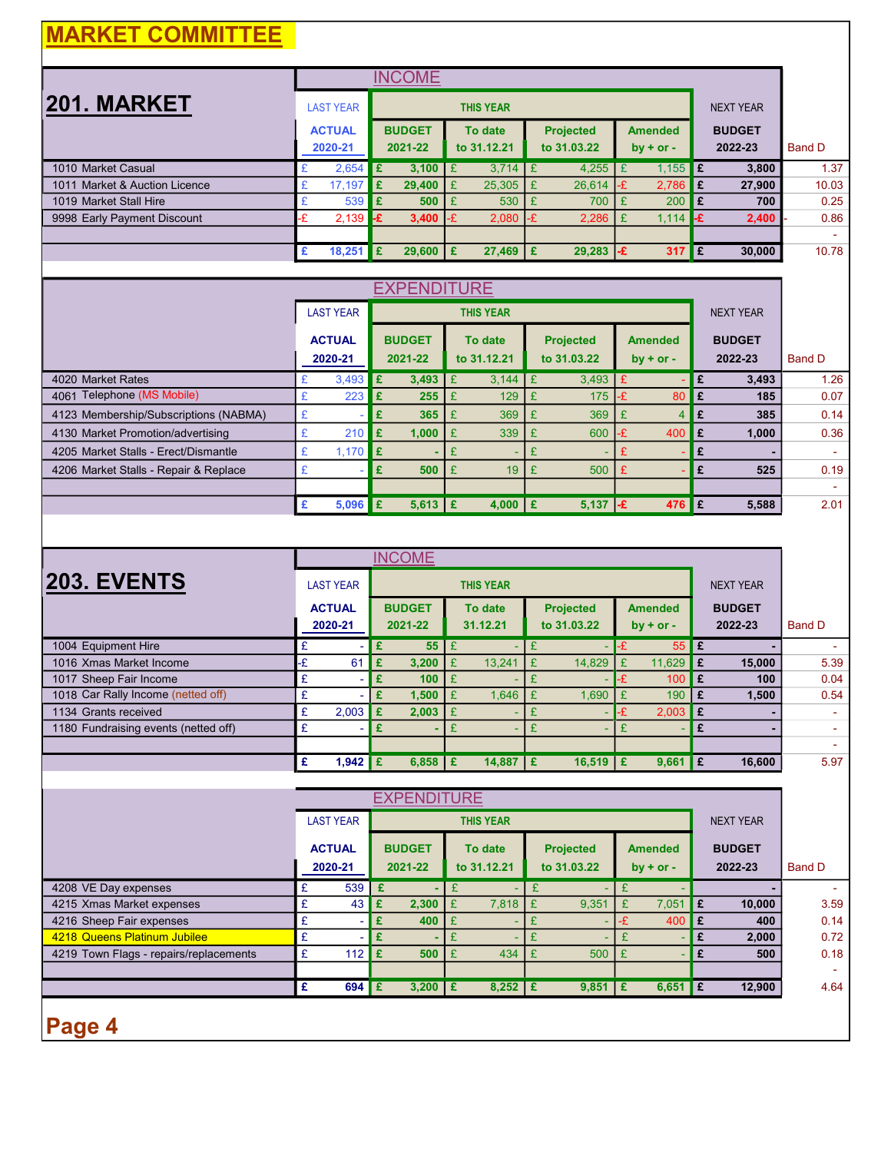| <b>MARKET COMMITTEE</b>               |                          |                                        |                          |                               |           |   |                                 |    |                               |                |                          |               |
|---------------------------------------|--------------------------|----------------------------------------|--------------------------|-------------------------------|-----------|---|---------------------------------|----|-------------------------------|----------------|--------------------------|---------------|
|                                       |                          |                                        | <b>INCOME</b>            |                               |           |   |                                 |    |                               |                |                          |               |
| <b>201. MARKET</b>                    | <b>LAST YEAR</b>         |                                        |                          | <b>THIS YEAR</b>              |           |   |                                 |    |                               |                | <b>NEXT YEAR</b>         |               |
|                                       | <b>ACTUAL</b><br>2020-21 |                                        | <b>BUDGET</b><br>2021-22 | <b>To date</b><br>to 31.12.21 |           |   | <b>Projected</b><br>to 31.03.22 |    | <b>Amended</b><br>$by + or -$ |                | <b>BUDGET</b><br>2022-23 | <b>Band D</b> |
| 1010 Market Casual                    | 2,654<br>£               | £                                      | 3,100                    | £                             | 3,714     | £ | 4,255                           | £  | 1,155                         | l£             | 3,800                    | 1.37          |
| 1011 Market & Auction Licence         | £<br>17,197              | £                                      | 29,400                   | £                             | 25,305    | £ | 26,614                          | £  | 2,786                         | $\overline{f}$ | 27,900                   | 10.03         |
| 1019 Market Stall Hire                | £<br>539                 | £                                      | 500                      | £                             | 530       | £ | 700                             | £  | 200                           | Ι£             | 700                      | 0.25          |
| 9998 Early Payment Discount           | £<br>2,139               | £                                      | 3,400                    | £                             | 2,080     | £ | 2.286                           | £  | 1,114                         | £.             | 2,400                    | 0.86          |
|                                       |                          |                                        |                          |                               |           |   |                                 |    |                               |                |                          | 10.78         |
|                                       | 18,251<br>£              | £                                      | 29,600                   | £                             | 27,469    | £ | 29,283                          | Ŀ£ | 317                           | E              | 30,000                   |               |
|                                       | <b>LAST YEAR</b>         | <b>EXPENDITURE</b><br><b>THIS YEAR</b> |                          |                               |           |   |                                 |    |                               |                | <b>NEXT YEAR</b>         |               |
|                                       | <b>ACTUAL</b><br>2020-21 |                                        | <b>BUDGET</b><br>2021-22 | <b>To date</b><br>to 31.12.21 |           |   | <b>Projected</b><br>to 31.03.22 |    | <b>Amended</b><br>$bv + or -$ |                | <b>BUDGET</b><br>2022-23 | <b>Band D</b> |
| 4020 Market Rates                     | 3,493<br>£               | £                                      | 3,493                    | £                             | 3,144     | £ | 3,493                           | £  |                               | £              | 3,493                    | 1.26          |
| 4061 Telephone (MS Mobile)            | £<br>223                 | £                                      | 255                      | £                             | 129       | £ | 175                             | £  | 80                            | £              | 185                      | 0.07          |
| 4123 Membership/Subscriptions (NABMA) | £                        | £                                      | 365                      | £                             | 369       | £ | 369                             | £  | $\overline{4}$                | £              | 385                      | 0.14          |
| 4130 Market Promotion/advertising     | £<br>210                 | £                                      | 1,000                    | £                             | 339       | £ | 600                             | £  | 400                           | £              | 1,000                    | 0.36          |
| 4205 Market Stalls - Erect/Dismantle  | £<br>1,170               | £                                      |                          | £                             |           | £ |                                 | £  |                               | £              |                          | $\sim$        |
| 4206 Market Stalls - Repair & Replace | £                        | £                                      | 500                      | £                             | 19        | £ | 500                             | £  |                               | £              | 525                      | 0.19          |
|                                       |                          |                                        |                          |                               |           |   |                                 |    |                               |                |                          |               |
|                                       | £<br>$5,096$ £           |                                        | $5,613$ £                |                               | 4,000 $E$ |   | 5,137 $\left  -E \right $       |    | $476$ £                       |                | 5,588                    | 2.01          |
|                                       |                          |                                        | <b>INCOME</b>            |                               |           |   |                                 |    |                               |                |                          |               |

|                                      |                  |                          | .                |                  |    |                  |                |    |                  |               |
|--------------------------------------|------------------|--------------------------|------------------|------------------|----|------------------|----------------|----|------------------|---------------|
| <b>203. EVENTS</b>                   | <b>LAST YEAR</b> |                          |                  | <b>THIS YEAR</b> |    |                  |                |    | <b>NEXT YEAR</b> |               |
|                                      | <b>ACTUAL</b>    |                          | <b>BUDGET</b>    | To date          |    | <b>Projected</b> | <b>Amended</b> |    | <b>BUDGET</b>    |               |
|                                      | 2020-21          |                          | 2021-22          | 31.12.21         |    | to 31.03.22      | $by + or -$    |    | 2022-23          | <b>Band D</b> |
| 1004 Equipment Hire                  |                  | £                        | $55$ $E$         |                  |    |                  | 55             | £  |                  |               |
| 1016 Xmas Market Income              | 61               | £                        | 3.200            | 13,241           | Ι£ | 14,829           | 11,629         | ١£ | 15,000           | 5.39          |
| 1017 Sheep Fair Income               |                  |                          | 100 <sub>1</sub> |                  |    |                  | 100            | £  | 100              | 0.04          |
| 1018 Car Rally Income (netted off)   |                  |                          | 1,500            | $1,646$   £      |    | 1,690            | 190            |    | 1,500            | 0.54          |
| 1134 Grants received                 | 2,003            | £                        | 2,003            |                  |    |                  | 2,003          | £  |                  |               |
| 1180 Fundraising events (netted off) |                  | $\overline{\phantom{a}}$ |                  |                  |    |                  |                |    |                  |               |
|                                      |                  |                          |                  |                  |    |                  |                |    |                  |               |
|                                      | 1,942            |                          | $6,858$   £      | 14,887   £       |    | $16.519$ $E$     | 9,661          |    | 16,600           | 5.97          |

|                                        |   |                          |    | <b>EXPENDITURE</b>       |   |                        |                                 |    |                               |   |                          |               |
|----------------------------------------|---|--------------------------|----|--------------------------|---|------------------------|---------------------------------|----|-------------------------------|---|--------------------------|---------------|
|                                        |   | <b>LAST YEAR</b>         |    |                          |   | <b>THIS YEAR</b>       |                                 |    |                               |   | <b>NEXT YEAR</b>         |               |
|                                        |   | <b>ACTUAL</b><br>2020-21 |    | <b>BUDGET</b><br>2021-22 |   | To date<br>to 31.12.21 | <b>Projected</b><br>to 31.03.22 |    | <b>Amended</b><br>$by + or -$ |   | <b>BUDGET</b><br>2022-23 | <b>Band D</b> |
| 4208 VE Day expenses                   | £ | 539                      | £  |                          | £ |                        |                                 | £  |                               |   |                          | . .           |
| 4215 Xmas Market expenses              | £ | 43                       |    | 2,300                    |   | 7,818                  | 9,351                           |    | 7,051                         | £ | 10,000                   | 3.59          |
| 4216 Sheep Fair expenses               | £ |                          |    | 400                      |   |                        |                                 | -£ | 400                           | £ | 400                      | 0.14          |
| 4218 Queens Platinum Jubilee           | £ |                          |    |                          |   |                        |                                 |    |                               |   | 2,000                    | 0.72          |
| 4219 Town Flags - repairs/replacements | £ | 112 <sub>1</sub>         |    | 500                      |   | 434                    | 500                             |    | ٠                             | £ | 500                      | 0.18          |
|                                        |   |                          |    |                          |   |                        |                                 |    |                               |   |                          | $\sim$        |
|                                        | £ | 694                      | Ι£ | $3,200$ $E$              |   | 8,252   E              | 9,851   £                       |    | 6,651   £                     |   | 12,900                   | 4.64          |
|                                        |   |                          |    |                          |   |                        |                                 |    |                               |   |                          |               |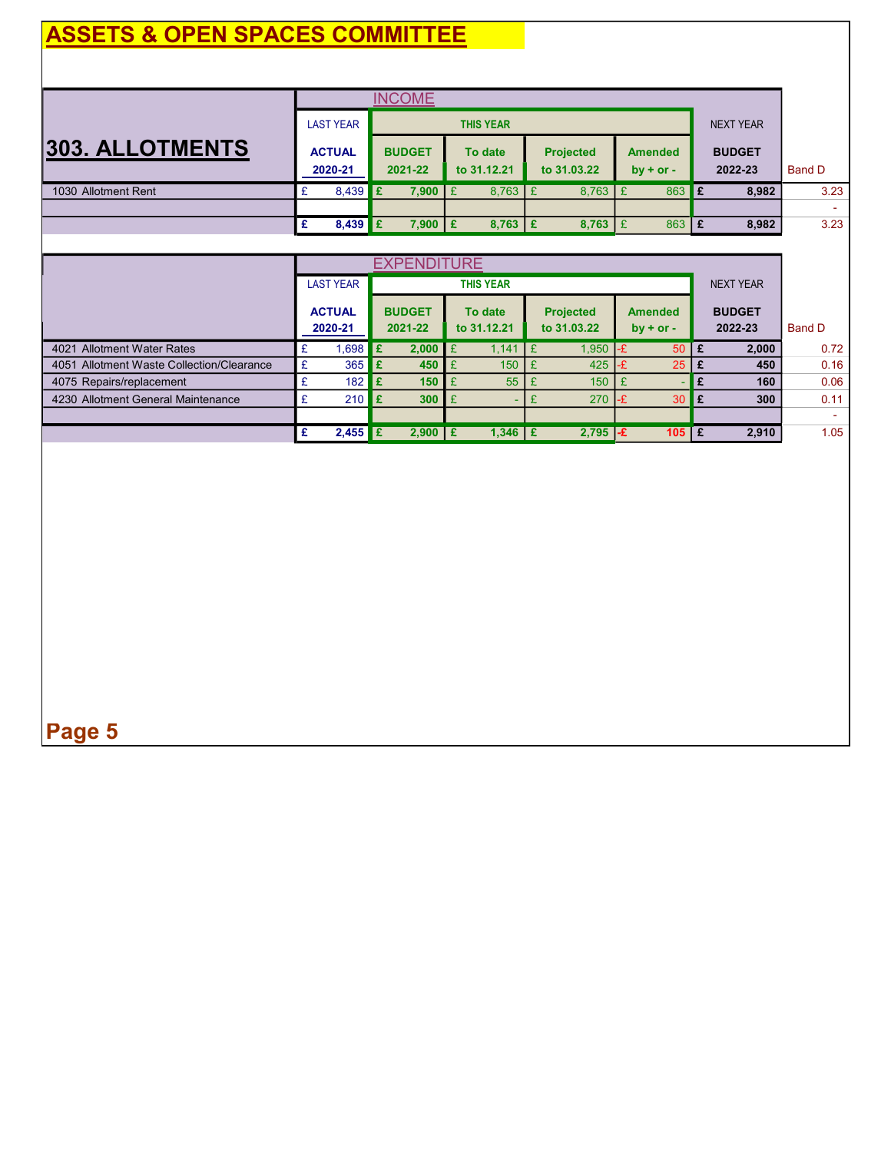### ASSETS & OPEN SPACES COMMITTEE

|                        |                  |             |     | <b>INCOME</b>      |                  |    |                  |                |     |                  |               |
|------------------------|------------------|-------------|-----|--------------------|------------------|----|------------------|----------------|-----|------------------|---------------|
|                        | <b>LAST YEAR</b> |             |     |                    | <b>THIS YEAR</b> |    |                  |                |     | <b>NEXT YEAR</b> |               |
| <b>303. ALLOTMENTS</b> | <b>ACTUAL</b>    |             |     | <b>BUDGET</b>      | To date          |    | <b>Projected</b> | <b>Amended</b> |     | <b>BUDGET</b>    |               |
|                        | 2020-21          |             |     | 2021-22            | to 31.12.21      |    | to 31,03,22      | $by + or -$    |     | 2022-23          | <b>Band D</b> |
| 1030 Allotment Rent    |                  | $8,439$ $E$ |     | $7,900$ $E$        | 8,763            | 1£ | $8,763$   £      | 863            | l £ | 8,982            | 3.23          |
|                        |                  |             |     |                    |                  |    |                  |                |     |                  | ۰.            |
|                        | £                | 8,439       | l £ | 7,900 $E$          | 8,763   £        |    | 8,763   $E$      | 863            | £   | 8,982            | 3.23          |
|                        |                  |             |     |                    |                  |    |                  |                |     |                  |               |
|                        |                  |             |     | <b>EXPENDITURE</b> |                  |    |                  |                |     |                  |               |

|                                           | <b>LAST YEAR</b>         |                          | <b>THIS YEAR</b>       |                                 |       |                               | <b>NEXT YEAR</b>         |               |
|-------------------------------------------|--------------------------|--------------------------|------------------------|---------------------------------|-------|-------------------------------|--------------------------|---------------|
|                                           | <b>ACTUAL</b><br>2020-21 | <b>BUDGET</b><br>2021-22 | To date<br>to 31.12.21 | <b>Projected</b><br>to 31.03.22 |       | <b>Amended</b><br>$by + or -$ | <b>BUDGET</b><br>2022-23 | <b>Band D</b> |
| 4021 Allotment Water Rates                | .698                     | $2.000$ $E$              | $1.141 \mid \pounds$   | $1,950$ -£                      |       | 50                            | 2,000                    | 0.72          |
| 4051 Allotment Waste Collection/Clearance | 365                      | 450                      | 150                    | 425                             |       | 25                            | 450                      | 0.16          |
| 4075 Repairs/replacement                  | 182                      | 150                      | 55                     | 150                             |       |                               | 160                      | 0.06          |
| 4230 Allotment General Maintenance        | 210 <sub>1</sub>         | 300                      |                        | 270                             | - 1-F | 30                            | 300                      | 0.11          |
|                                           |                          |                          |                        |                                 |       |                               |                          |               |
|                                           | $2,455$ E                | $2,900$   £              | 1,346   £              |                                 |       | $105$ $E$                     | 2,910                    | 1.05          |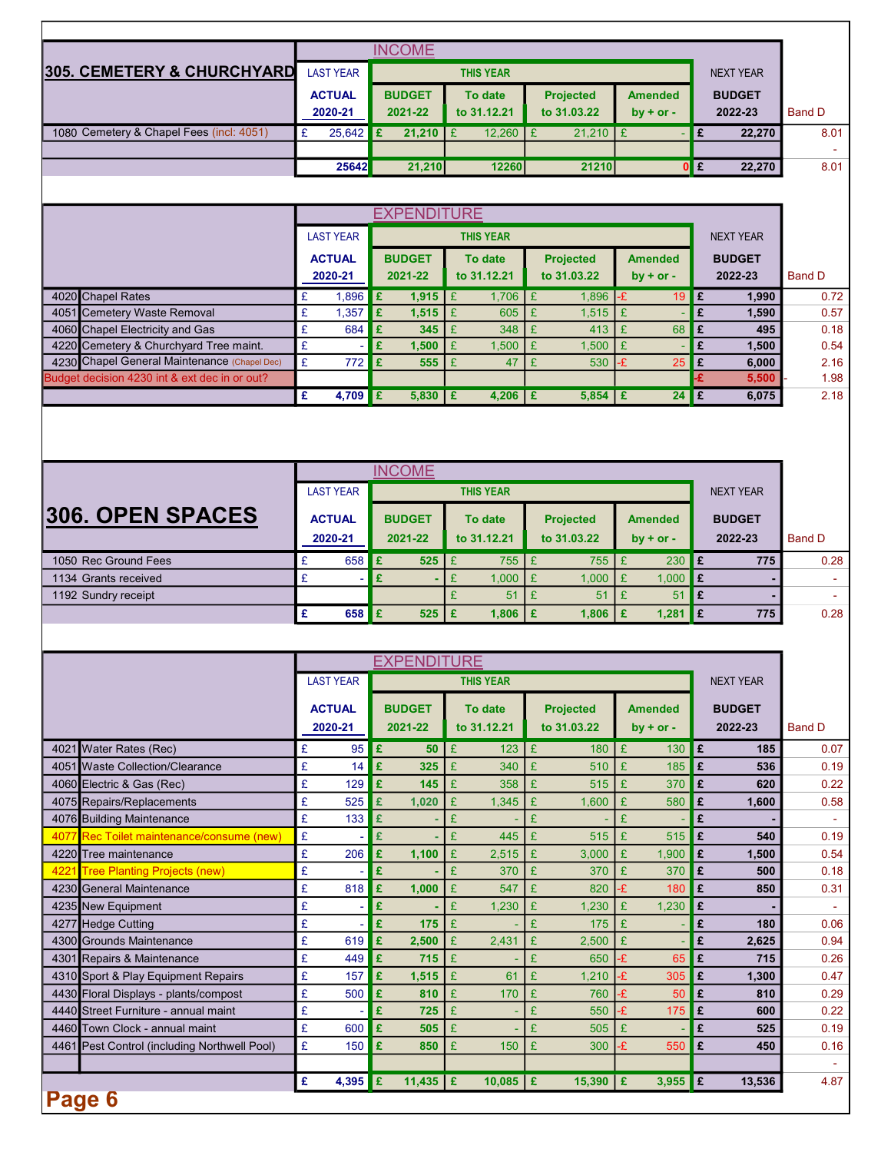|                                                                       |                  | <b>INCOME</b>      |                             |                        |                        |                                  |                          |
|-----------------------------------------------------------------------|------------------|--------------------|-----------------------------|------------------------|------------------------|----------------------------------|--------------------------|
|                                                                       |                  |                    |                             |                        |                        |                                  |                          |
| <b>305. CEMETERY &amp; CHURCHYARD</b>                                 | <b>LAST YEAR</b> |                    | <b>THIS YEAR</b>            |                        |                        | <b>NEXT YEAR</b>                 |                          |
|                                                                       | <b>ACTUAL</b>    | <b>BUDGET</b>      | To date                     | <b>Projected</b>       | <b>Amended</b>         | <b>BUDGET</b>                    |                          |
|                                                                       | 2020-21          | 2021-22            | to 31.12.21                 | to 31.03.22            | $by + or -$            | 2022-23                          | <b>Band D</b>            |
| 1080 Cemetery & Chapel Fees (incl: 4051)                              | £<br>25,642      | £<br>21,210        | $12,260$ £<br>£             | 21,210                 | £                      | $\pmb{\mathsf{E}}$<br>22,270     | 8.01                     |
|                                                                       | 25642            | 21,210             | 12260                       | 21210                  |                        | $0$ $\epsilon$<br>22,270         | 8.01                     |
|                                                                       |                  |                    |                             |                        |                        |                                  |                          |
|                                                                       |                  |                    |                             |                        |                        |                                  |                          |
|                                                                       |                  | <b>EXPENDITURE</b> |                             |                        |                        |                                  |                          |
|                                                                       | <b>LAST YEAR</b> |                    | <b>THIS YEAR</b>            |                        |                        | <b>NEXT YEAR</b>                 |                          |
|                                                                       | <b>ACTUAL</b>    | <b>BUDGET</b>      | To date                     | <b>Projected</b>       | <b>Amended</b>         | <b>BUDGET</b>                    |                          |
|                                                                       | 2020-21          | 2021-22            | to 31.12.21                 | to 31.03.22            | $by + or -$            | 2022-23                          | <b>Band D</b>            |
| 4020 Chapel Rates                                                     | £<br>1,896       | E<br>1,915         | $1,706$ $E$<br>$\mathbf{E}$ | 1,896                  | $19$ E<br>٠£           | 1,990                            | 0.72                     |
| Cemetery Waste Removal<br>4051                                        | £<br>1,357       | £<br>1,515         | £<br>605                    | £<br>1,515             | £                      | £<br>1,590                       | 0.57                     |
| 4060 Chapel Electricity and Gas                                       | £<br>684         | £<br>345           | £<br>348                    | £<br>413               | £<br>68                | E<br>495                         | 0.18                     |
| 4220 Cemetery & Churchyard Tree maint.                                | £                | £<br>1,500         | £<br>1,500                  | £<br>1,500             | £                      | $\overline{\mathbf{f}}$<br>1,500 | 0.54                     |
| 4230 Chapel General Maintenance (Chapel Dec)                          | £<br>772         | £<br>555           | £<br>47                     | £<br>530               | £<br>25                | £<br>6,000                       | 2.16<br>1.98             |
| Budget decision 4230 int & ext dec in or out?                         | £                | £                  |                             |                        | $\overline{24}$        | 5,500<br>$\overline{E}$          | 2.18                     |
|                                                                       | 4,709            | 5,830              | £<br>4,206   £              | 5,854                  | £                      | 6,075                            |                          |
|                                                                       |                  | <b>INCOME</b>      |                             |                        |                        |                                  |                          |
|                                                                       | <b>LAST YEAR</b> |                    | <b>THIS YEAR</b>            |                        |                        | <b>NEXT YEAR</b>                 |                          |
|                                                                       |                  |                    |                             |                        |                        |                                  |                          |
| 306. OPEN SPACES                                                      | <b>ACTUAL</b>    | <b>BUDGET</b>      | To date                     | Projected              | <b>Amended</b>         | <b>BUDGET</b>                    |                          |
|                                                                       | 2020-21          | 2021-22            | to 31.12.21                 | to 31.03.22            | by $+$ or $-$          | 2022-23                          | <b>Band D</b>            |
| 1050 Rec Ground Fees                                                  | £<br>658         | £<br>525           | £<br>755 £                  | 755                    | £<br>230               | <b>E</b><br>775                  | 0.28                     |
| 1134 Grants received                                                  | £                | £                  | £<br>1,000                  | £<br>1,000             | £<br>1,000             | E.                               |                          |
| 1192 Sundry receipt                                                   |                  |                    | £<br>51                     | £<br>51                | £<br>51                | £                                |                          |
|                                                                       | £<br>658         | £<br>525           | £<br>1,806                  | £<br>1,806             | £<br>1,281             | £<br>775                         | 0.28                     |
|                                                                       |                  |                    |                             |                        |                        |                                  |                          |
|                                                                       |                  | <b>EXPENDITURE</b> |                             |                        |                        |                                  |                          |
|                                                                       | <b>LAST YEAR</b> |                    | <b>THIS YEAR</b>            |                        |                        | <b>NEXT YEAR</b>                 |                          |
|                                                                       |                  |                    |                             |                        |                        |                                  |                          |
|                                                                       | <b>ACTUAL</b>    | <b>BUDGET</b>      | To date                     | <b>Projected</b>       | <b>Amended</b>         | <b>BUDGET</b>                    |                          |
|                                                                       | 2020-21          | 2021-22            | to 31.12.21                 | to 31.03.22            | by $+$ or $-$          | 2022-23                          | <b>Band D</b>            |
| 4021 Water Rates (Rec)                                                | £<br>95          | £<br>50            | 123<br>£                    | £<br>180               | £<br>130               | Ι£<br>185                        | 0.07                     |
| 4051<br>Waste Collection/Clearance                                    | £<br>14          | £<br>325           | £<br>340                    | £<br>510               | £<br>185               | £<br>536                         | 0.19                     |
| 4060 Electric & Gas (Rec)                                             | £<br>129         | £<br>145           | £<br>358                    | £<br>515               | £<br>370               | £<br>620                         | 0.22                     |
| 4075 Repairs/Replacements                                             | £<br>525         | £<br>1,020         | £<br>1,345                  | £<br>1,600             | £<br>580               | £<br>1,600                       | 0.58                     |
| 4076 Building Maintenance                                             | £<br>133         | £                  | £                           | £                      | £                      | £                                | $\overline{\phantom{a}}$ |
| 4077<br>Rec Toilet maintenance/consume (new)<br>4220 Tree maintenance | £<br>£<br>206    | £<br>£<br>1,100    | £<br>445<br>£<br>2,515      | £<br>515<br>£<br>3,000 | £<br>515<br>£<br>1,900 | £<br>540<br>£                    | 0.19<br>0.54             |
| 422<br><b>Tree Planting Projects (new)</b>                            | £                | £                  | £<br>370                    | £<br>370               | £<br>370               | 1,500<br>£<br>500                | 0.18                     |
| 4230 General Maintenance                                              | £<br>818         | £<br>1,000         | £<br>547                    | £<br>820               | £<br>180               | £<br>850                         | 0.31                     |
| 4235 New Equipment                                                    | £                | £                  | £<br>1,230                  | £<br>1,230             | £<br>1,230             | £                                | $\blacksquare$           |
| 4277 Hedge Cutting                                                    | £                | £<br>175           | £                           | £<br>175               | £                      | £<br>180                         | 0.06                     |
| 4300 Grounds Maintenance                                              | £<br>619         | £<br>2,500         | £<br>2,431                  | £<br>2,500             | £                      | £<br>2,625                       | 0.94                     |
| 4301<br>Repairs & Maintenance                                         | £<br>449         | £<br>715           | £                           | £<br>650               | £<br>65                | £<br>715                         | 0.26                     |
| 4310 Sport & Play Equipment Repairs                                   | £<br>157         | £<br>1,515         | £<br>61                     | £<br>1,210             | £<br>305               | £<br>1,300                       | 0.47                     |
| 4430 Floral Displays - plants/compost                                 | £<br>500         | £<br>810           | £<br>170                    | £<br>760               | £<br>50                | £<br>810                         | 0.29                     |
| 4440 Street Furniture - annual maint                                  | £                | £<br>725           | £                           | £<br>550               | £<br>175               | £<br>600                         | 0.22                     |
| 4460 Town Clock - annual maint                                        | £<br>600         | £<br>505           | £                           | £<br>505               | £                      | £<br>525                         | 0.19                     |
| 4461 Pest Control (including Northwell Pool)                          | £<br>150         | £<br>850           | £<br>150                    | £<br>300               | £<br>550               | £<br>450                         | 0.16                     |
|                                                                       |                  |                    |                             |                        |                        |                                  | $\bullet$                |
|                                                                       | £<br>4,395 $E$   | 11,435   £         | 10,085   £                  | 15,390                 | $3,955$ £<br>£         | 13,536                           | 4.87                     |
| Page 6                                                                |                  |                    |                             |                        |                        |                                  |                          |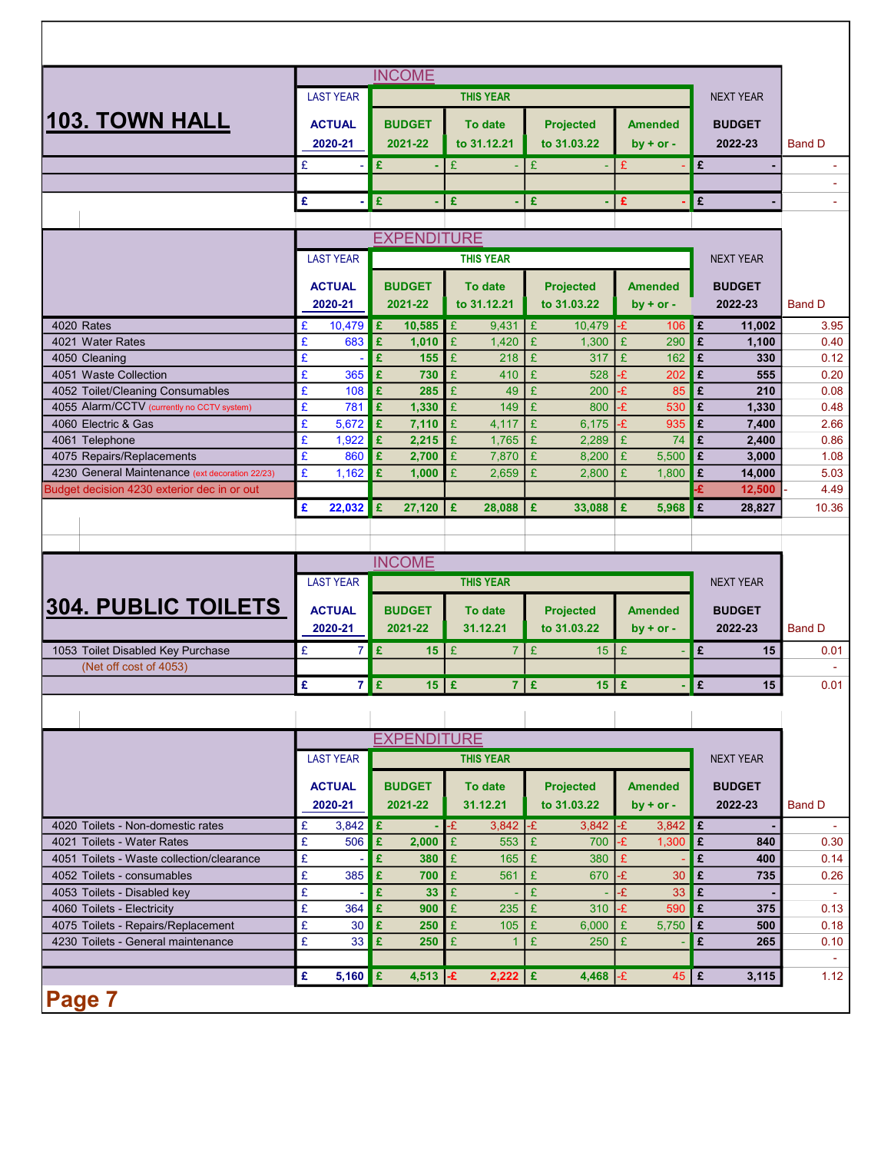|                                                                              |                        | <b>INCOME</b>            |                       |                          |                       |                             |                                                                      |
|------------------------------------------------------------------------------|------------------------|--------------------------|-----------------------|--------------------------|-----------------------|-----------------------------|----------------------------------------------------------------------|
|                                                                              | <b>LAST YEAR</b>       |                          | <b>THIS YEAR</b>      |                          |                       | <b>NEXT YEAR</b>            |                                                                      |
|                                                                              |                        |                          |                       |                          |                       |                             |                                                                      |
| 103. TOWN HALL                                                               | <b>ACTUAL</b>          | <b>BUDGET</b>            | To date               | <b>Projected</b>         | <b>Amended</b>        | <b>BUDGET</b>               |                                                                      |
|                                                                              | 2020-21                | 2021-22                  | to 31.12.21           | to 31.03.22              | by $+$ or $-$         | 2022-23                     | <b>Band D</b>                                                        |
|                                                                              | £<br>÷                 | £<br>٠                   | £                     | £                        | £                     | £                           | $\sim$                                                               |
|                                                                              |                        |                          |                       |                          |                       |                             | ÷.                                                                   |
|                                                                              | £                      | £                        | £                     | £                        | £                     | $\pmb{\mathsf{E}}$          |                                                                      |
|                                                                              |                        |                          |                       |                          |                       |                             |                                                                      |
|                                                                              |                        | <b>EXPENDITURE</b>       |                       |                          |                       |                             |                                                                      |
|                                                                              | <b>LAST YEAR</b>       |                          | <b>THIS YEAR</b>      |                          |                       | <b>NEXT YEAR</b>            |                                                                      |
|                                                                              |                        |                          |                       |                          |                       |                             |                                                                      |
|                                                                              | <b>ACTUAL</b>          | <b>BUDGET</b>            | To date               | <b>Projected</b>         | <b>Amended</b>        | <b>BUDGET</b>               |                                                                      |
|                                                                              | 2020-21                | 2021-22                  | to 31.12.21           | to 31.03.22              | $by + or -$           | 2022-23                     | <b>Band D</b>                                                        |
| <b>4020 Rates</b>                                                            | £<br>10,479            | Ι£<br>10,585             | £<br>9,431            | E<br>10,479              | ٠£<br>106             | £<br>11,002                 | 3.95                                                                 |
| 4021 Water Rates                                                             | £<br>683               | £<br>1,010               | £<br>1,420            | $\mathbf{E}$<br>1,300    | £<br>290              | £<br>1,100                  | 0.40                                                                 |
| 4050 Cleaning                                                                | £                      | £<br>155                 | £<br>218              | £<br>317                 | £<br>162              | £<br>330                    | 0.12                                                                 |
| 4051 Waste Collection                                                        | £<br>365               | £<br>730                 | £<br>410              | £<br>528                 | £<br>202              | £<br>555                    | 0.20                                                                 |
| 4052 Toilet/Cleaning Consumables                                             | £<br>108               | £<br>285                 | £<br>49               | £<br>200                 | £<br>85               | £<br>210                    | 0.08                                                                 |
| 4055 Alarm/CCTV (currently no CCTV system)                                   | £<br>781               | £<br>1,330               | £<br>149              | E<br>800                 | ٠£<br>530             | £<br>1,330                  | 0.48                                                                 |
| 4060 Electric & Gas                                                          | £<br>5,672             | £<br>7,110               | £<br>4,117<br>£       | £<br>6,175               | ٠£<br>935             | £<br>7,400<br>E             | 2.66                                                                 |
| 4061 Telephone                                                               | £<br>1,922<br>£<br>860 | £<br>2,215<br>£<br>2,700 | 1,765<br>£<br>7,870   | E<br>2,289<br>£<br>8,200 | £<br>74<br>£<br>5,500 | 2,400<br>£<br>3,000         | 0.86<br>1.08                                                         |
| 4075 Repairs/Replacements<br>4230 General Maintenance (ext decoration 22/23) | £<br>1,162             | £<br>1,000               | £<br>2,659            | £<br>2,800               | £<br>1,800            | £<br>14,000                 | 5.03                                                                 |
| Budget decision 4230 exterior dec in or out                                  |                        |                          |                       |                          |                       | 12,500                      | 4.49                                                                 |
|                                                                              | £<br>$22,032$ £        | 27,120                   | $\mathbf f$<br>28,088 | £<br>33,088              | £<br>5,968            | <b>E</b><br>28,827          | 10.36                                                                |
|                                                                              |                        |                          |                       |                          |                       |                             |                                                                      |
|                                                                              |                        |                          |                       |                          |                       |                             |                                                                      |
|                                                                              |                        |                          |                       |                          |                       |                             |                                                                      |
|                                                                              | <b>LAST YEAR</b>       | <b>INCOME</b>            | <b>THIS YEAR</b>      |                          |                       | <b>NEXT YEAR</b>            |                                                                      |
|                                                                              |                        |                          |                       |                          |                       |                             |                                                                      |
|                                                                              | <b>ACTUAL</b>          | <b>BUDGET</b>            | To date               | <b>Projected</b>         | <b>Amended</b>        | <b>BUDGET</b>               |                                                                      |
|                                                                              | 2020-21                | 2021-22                  | 31.12.21              | to 31.03.22              | by $+$ or $-$         | 2022-23                     | <b>Band D</b>                                                        |
| 1053 Toilet Disabled Key Purchase                                            | £<br>$\overline{7}$    | £<br>$15$ $E$            |                       | $7$ $E$<br>$15$ $E$      |                       | £<br>15                     |                                                                      |
| (Net off cost of 4053)                                                       |                        |                          |                       |                          |                       |                             |                                                                      |
|                                                                              | £                      | $7$ $E$<br>$15$ $E$      |                       | $7$ $E$<br>$15$ $E$      |                       | £<br>15                     |                                                                      |
|                                                                              |                        |                          |                       |                          |                       |                             |                                                                      |
|                                                                              |                        |                          |                       |                          |                       |                             |                                                                      |
|                                                                              |                        | <b>EXPENDITURE</b>       |                       |                          |                       |                             |                                                                      |
|                                                                              | <b>LAST YEAR</b>       |                          | <b>THIS YEAR</b>      |                          |                       | <b>NEXT YEAR</b>            |                                                                      |
|                                                                              |                        |                          |                       |                          |                       |                             |                                                                      |
|                                                                              | <b>ACTUAL</b>          | <b>BUDGET</b>            | To date               | Projected                | <b>Amended</b>        | <b>BUDGET</b>               |                                                                      |
|                                                                              | 2020-21                | 2021-22                  | 31.12.21              | to 31.03.22              | $by + or -$           | 2022-23                     | <b>Band D</b>                                                        |
| 4020 Toilets - Non-domestic rates                                            | £<br>3,842             | £                        | ٠£<br>3,842           | -£<br>3,842              | $3,842$ £<br>-£       |                             |                                                                      |
| 4021 Toilets - Water Rates                                                   | £<br>506               | £<br>2,000               | £<br>553              | £<br>700                 | £<br>1,300            | £<br>840                    |                                                                      |
| 4051 Toilets - Waste collection/clearance                                    | £                      | £<br>380                 | £<br>165              | $\mathbf{E}$<br>380      | £                     | £<br>400                    |                                                                      |
| 4052 Toilets - consumables                                                   | £<br>385               | £<br>700                 | £<br>561              | £<br>670                 | -£<br>30              | £<br>735                    |                                                                      |
| 4053 Toilets - Disabled key                                                  | £                      | £<br>33                  | £                     | £                        | ٠£<br>33              | £                           | $\omega$                                                             |
| 4060 Toilets - Electricity                                                   | £<br>364               | £<br>900                 | 235<br>£              | $\mathbf f$<br>310       | 590                   | £<br>375                    |                                                                      |
| 4075 Toilets - Repairs/Replacement                                           | £<br>30                | £<br>250                 | £<br>105              | $\mathbf{E}$<br>6,000    | £<br>5,750            | £<br>500                    |                                                                      |
| 4230 Toilets - General maintenance                                           | £<br>33                | £<br>250                 | £<br>-1               | £<br>250                 | £                     | $\pmb{\mathfrak{c}}$<br>265 |                                                                      |
|                                                                              |                        |                          |                       |                          |                       |                             |                                                                      |
| <b>304. PUBLIC TOILETS</b><br>Page 7                                         | £<br>$5,160$ $E$       | 4,513 $\,$ -£            | $2,222$ £             | 4,468 $-E$               | $45$ £                | 3,115                       | 0.01<br>0.01<br>0.30<br>0.14<br>0.26<br>0.13<br>0.18<br>0.10<br>1.12 |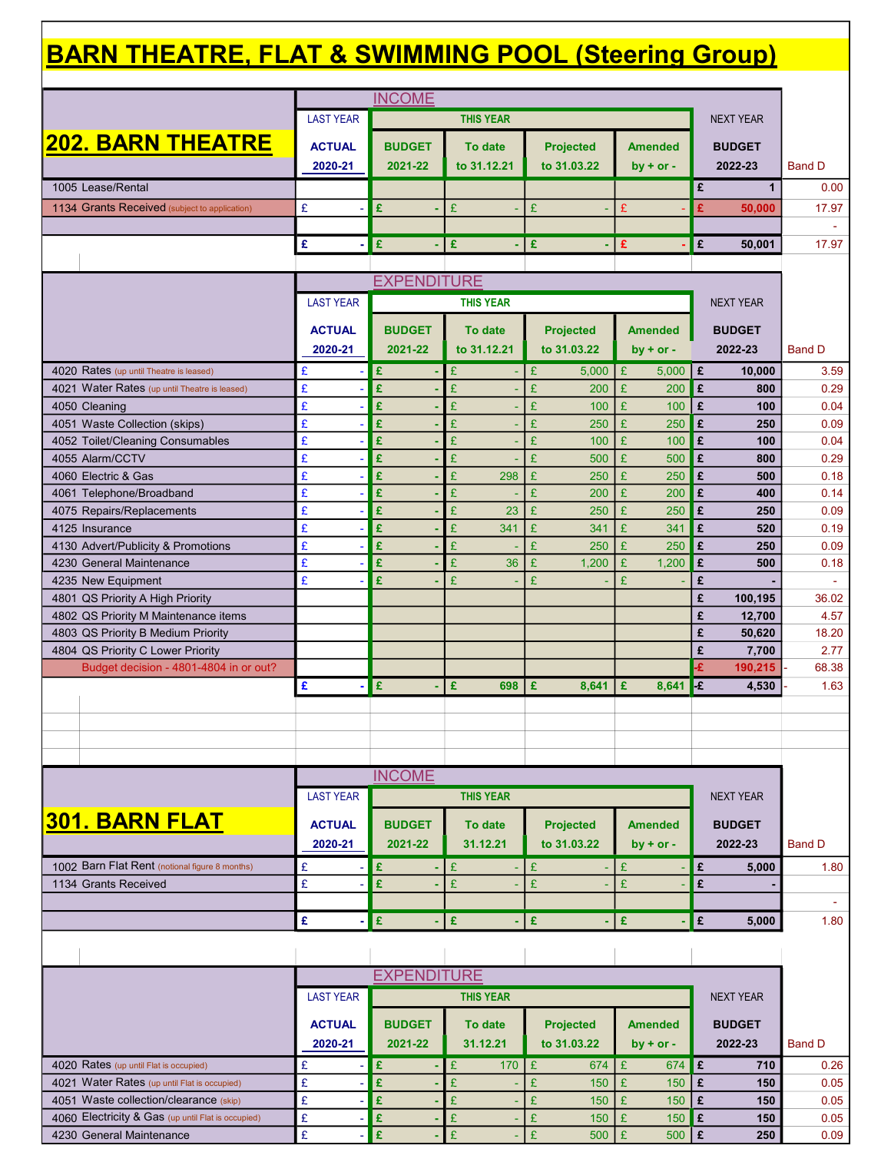# BARN THEATRE, FLAT & SWIMMING POOL (Steering Group)

|                                                                |                                                                | <b>INCOME</b>           |                  |                      |                      |                       |                |
|----------------------------------------------------------------|----------------------------------------------------------------|-------------------------|------------------|----------------------|----------------------|-----------------------|----------------|
|                                                                | <b>LAST YEAR</b>                                               |                         | <b>THIS YEAR</b> |                      |                      | <b>NEXT YEAR</b>      |                |
|                                                                |                                                                |                         |                  |                      |                      |                       |                |
| <b>202. BARN THEATRE</b>                                       | <b>ACTUAL</b>                                                  | <b>BUDGET</b>           | To date          | Projected            | <b>Amended</b>       | <b>BUDGET</b>         |                |
|                                                                | 2020-21                                                        | 2021-22                 | to 31.12.21      | to 31.03.22          | $bv + or -$          | 2022-23               | <b>Band D</b>  |
| 1005 Lease/Rental                                              |                                                                |                         |                  |                      |                      | £<br>$\mathbf{1}$     | 0.00           |
| 1134 Grants Received (subject to application)                  | £                                                              | £                       | £                | £                    | £                    | £<br>50,000           | 17.97          |
|                                                                |                                                                |                         |                  |                      |                      |                       |                |
|                                                                | £                                                              | £                       | £                | £                    | £                    | £<br>50,001           | 17.97          |
|                                                                |                                                                |                         |                  |                      |                      |                       |                |
|                                                                |                                                                | <b>EXPENDITURE</b>      |                  |                      |                      |                       |                |
|                                                                | <b>LAST YEAR</b>                                               |                         | <b>THIS YEAR</b> |                      |                      | <b>NEXT YEAR</b>      |                |
|                                                                | <b>ACTUAL</b>                                                  | <b>BUDGET</b>           | To date          | Projected            | <b>Amended</b>       | <b>BUDGET</b>         |                |
|                                                                | 2020-21                                                        | 2021-22                 | to 31.12.21      | to 31.03.22          | $by + or -$          | 2022-23               | <b>Band D</b>  |
|                                                                |                                                                |                         |                  |                      |                      |                       |                |
| 4020 Rates (up until Theatre is leased)                        | £<br>$\overline{\phantom{a}}$                                  | £<br>£                  | £                | £<br>5,000           | £<br>5,000           | £<br>10,000           | 3.59           |
| 4021 Water Rates (up until Theatre is leased)<br>4050 Cleaning | £<br>$\overline{\phantom{a}}$<br>£<br>$\overline{\phantom{a}}$ | £                       | £<br>£           | £<br>200<br>£<br>100 | £<br>200<br>£<br>100 | E.<br>800<br>£<br>100 | 0.29<br>0.04   |
| 4051 Waste Collection (skips)                                  | £<br>÷                                                         | £                       | £                | £<br>250             | £<br>250             | £<br>250              | 0.09           |
| 4052 Toilet/Cleaning Consumables                               | £<br>$\overline{\phantom{a}}$                                  | £                       | £                | £<br>100             | £<br>100             | £<br>100              | 0.04           |
| 4055 Alarm/CCTV                                                | £<br>÷                                                         | £                       | £                | £<br>500             | £<br>500             | £<br>800              | 0.29           |
| 4060 Electric & Gas                                            | £<br>÷                                                         | £                       | £<br>298         | £<br>250             | £<br>250             | £<br>500              | 0.18           |
| 4061 Telephone/Broadband                                       | £<br>$\overline{\phantom{a}}$                                  | £                       | £                | £<br>200             | £<br>200             | £<br>400              | 0.14           |
| 4075 Repairs/Replacements                                      | £<br>÷                                                         | £                       | £<br>23          | £<br>250             | £<br>250             | £<br>250              | 0.09           |
| 4125 Insurance                                                 | £<br>$\overline{\phantom{a}}$                                  | £                       | £<br>341         | £<br>341             | £<br>341             | £<br>520              | 0.19           |
| 4130 Advert/Publicity & Promotions                             | £<br>$\overline{\phantom{a}}$                                  | £                       | £                | £<br>250             | £<br>250             | £<br>250              | 0.09           |
| 4230 General Maintenance                                       | £<br>$\overline{\phantom{a}}$                                  | £                       | £<br>36          | £<br>1,200           | £<br>1,200           | £<br>500              | 0.18           |
| 4235 New Equipment                                             | £<br>$\overline{\phantom{a}}$                                  | £                       | £                | £                    | £                    | £                     |                |
| 4801 QS Priority A High Priority                               |                                                                |                         |                  |                      |                      | £<br>100,195          | 36.02          |
| 4802 QS Priority M Maintenance items                           |                                                                |                         |                  |                      |                      | £<br>12,700           | 4.57           |
| 4803 QS Priority B Medium Priority                             |                                                                |                         |                  |                      |                      | £<br>50,620           | 18.20          |
| 4804 QS Priority C Lower Priority                              |                                                                |                         |                  |                      |                      | £<br>7,700            | 2.77           |
| Budget decision - 4801-4804 in or out?                         |                                                                |                         |                  |                      |                      | £<br>190,215          | 68.38          |
|                                                                | £                                                              | £                       | £<br>698         | Æ<br>8,641           | £<br>8,641           | -£<br>4,530           | 1.63           |
|                                                                |                                                                |                         |                  |                      |                      |                       |                |
|                                                                |                                                                |                         |                  |                      |                      |                       |                |
|                                                                |                                                                |                         |                  |                      |                      |                       |                |
|                                                                |                                                                |                         |                  |                      |                      |                       |                |
|                                                                |                                                                | <b>INCOME</b>           |                  |                      |                      |                       |                |
|                                                                | <b>LAST YEAR</b>                                               |                         | <b>THIS YEAR</b> |                      |                      | <b>NEXT YEAR</b>      |                |
| 301. BARN FLAT                                                 | <b>ACTUAL</b>                                                  | <b>BUDGET</b>           | To date          | Projected            | <b>Amended</b>       | <b>BUDGET</b>         |                |
|                                                                | 2020-21                                                        | 2021-22                 | 31.12.21         | to 31.03.22          | $by + or -$          | 2022-23               | <b>Band D</b>  |
|                                                                |                                                                |                         |                  |                      |                      |                       |                |
| 1002 Barn Flat Rent (notional figure 8 months)                 | £                                                              | £                       | £                | £                    | £                    | £<br>5,000            | 1.80           |
| 1134 Grants Received                                           | £                                                              | £                       | £                | £                    | £                    | £                     |                |
|                                                                |                                                                |                         |                  |                      |                      |                       | $\blacksquare$ |
|                                                                | £<br>$\blacksquare$                                            | £<br>$\omega$           | E<br>÷.          | £                    | $ \epsilon$<br>÷     | £<br>5,000            | 1.80           |
|                                                                |                                                                |                         |                  |                      |                      |                       |                |
|                                                                |                                                                | <b>EXPENDITURE</b>      |                  |                      |                      |                       |                |
|                                                                |                                                                |                         |                  |                      |                      |                       |                |
|                                                                | <b>LAST YEAR</b>                                               |                         | <b>THIS YEAR</b> |                      |                      | <b>NEXT YEAR</b>      |                |
|                                                                | <b>ACTUAL</b>                                                  | <b>BUDGET</b>           | To date          | Projected            | <b>Amended</b>       | <b>BUDGET</b>         |                |
|                                                                | 2020-21                                                        | 2021-22                 | 31.12.21         | to 31.03.22          | by $+$ or $-$        | 2022-23               | <b>Band D</b>  |
| 4020 Rates (up until Flat is occupied)                         | £<br>÷                                                         | £                       | £<br>$170$ £     | 674                  | £<br>674             | E.<br>710             | 0.26           |
| 4021 Water Rates (up until Flat is occupied)                   | £                                                              | $\overline{\mathbf{f}}$ | £                | £<br>150             | £<br>150             | £<br>150              | 0.05           |
| 4051 Waste collection/clearance (skip)                         | £                                                              | £                       | £                | £<br>150             | £<br>150             | £<br>150              | 0.05           |
| 4060 Electricity & Gas (up until Flat is occupied)             | £                                                              | £                       | £                | £<br>150             | £<br>150             | E<br>150              | 0.05           |
| 4230 General Maintenance                                       | £                                                              | $\overline{\mathbf{f}}$ | £                | £<br>500             | £<br>500             | £<br>250              | 0.09           |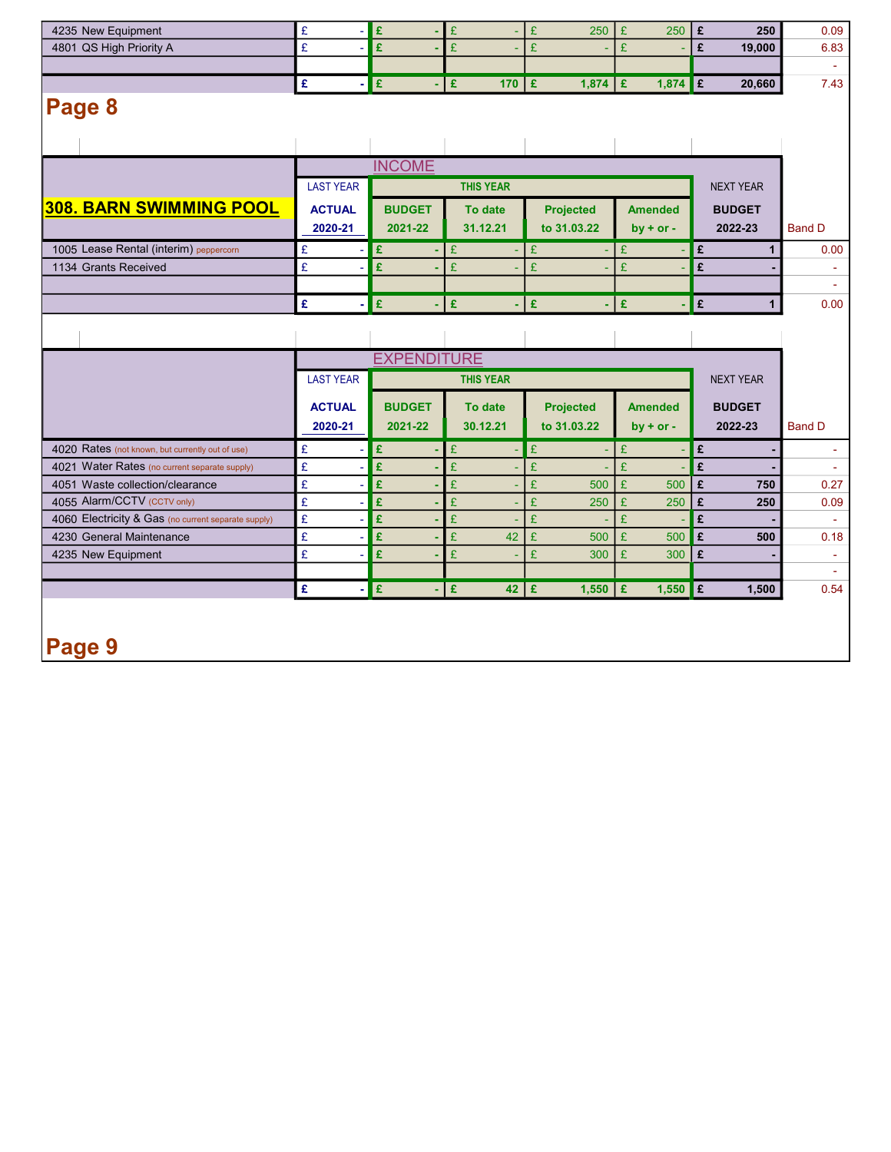| 4235 New Equipment                                  | £                       | £                  | £                       | £<br>250         | £<br>250       | £<br>250          | 0.09           |
|-----------------------------------------------------|-------------------------|--------------------|-------------------------|------------------|----------------|-------------------|----------------|
| 4801 QS High Priority A                             | $\overline{\mathrm{E}}$ | £                  | $\overline{\mathrm{E}}$ | £                | £              | £<br>19,000       | 6.83           |
|                                                     |                         |                    |                         |                  |                |                   | $\blacksquare$ |
|                                                     | £<br>$\blacksquare$     | E<br>ä,            | £<br>$\overline{170}$   | $1,874$ £<br>E   | $1,874$ £      | 20,660            | 7.43           |
| Page 8                                              |                         |                    |                         |                  |                |                   |                |
|                                                     |                         |                    |                         |                  |                |                   |                |
|                                                     |                         |                    |                         |                  |                |                   |                |
|                                                     |                         | <b>INCOME</b>      |                         |                  |                |                   |                |
|                                                     |                         |                    |                         |                  |                |                   |                |
|                                                     | <b>LAST YEAR</b>        |                    | <b>THIS YEAR</b>        |                  |                | <b>NEXT YEAR</b>  |                |
| <b>308. BARN SWIMMING POOL</b>                      | <b>ACTUAL</b>           | <b>BUDGET</b>      | To date                 | <b>Projected</b> | <b>Amended</b> | <b>BUDGET</b>     |                |
|                                                     | 2020-21                 | 2021-22            | 31.12.21                | to 31.03.22      | $by + or -$    | 2022-23           | <b>Band D</b>  |
| 1005 Lease Rental (interim) peppercorn              | £                       | £                  | £                       | £                | £              | £<br>$\mathbf{1}$ | 0.00           |
| 1134 Grants Received                                | £                       | £                  | £                       | £                | £              | £                 |                |
|                                                     |                         |                    |                         |                  |                |                   |                |
|                                                     | £<br>ä,                 | £                  | £                       | £                | £<br>÷         | £<br>$\mathbf 1$  | 0.00           |
|                                                     |                         |                    |                         |                  |                |                   |                |
|                                                     |                         |                    |                         |                  |                |                   |                |
|                                                     |                         | <b>EXPENDITURE</b> |                         |                  |                |                   |                |
|                                                     | <b>LAST YEAR</b>        |                    | <b>THIS YEAR</b>        |                  |                | <b>NEXT YEAR</b>  |                |
|                                                     |                         |                    |                         |                  |                |                   |                |
|                                                     | <b>ACTUAL</b>           | <b>BUDGET</b>      | To date                 | <b>Projected</b> | <b>Amended</b> | <b>BUDGET</b>     |                |
|                                                     | 2020-21                 | 2021-22            | 30.12.21                | to 31.03.22      | $by + or -$    | 2022-23           | <b>Band D</b>  |
| 4020 Rates (not known, but currently out of use)    | £                       | £                  | £                       | £                | £<br>$\omega$  | £                 | $\sim$         |
| 4021 Water Rates (no current separate supply)       | £                       | £                  | £                       | £                | £              | £                 |                |
| 4051 Waste collection/clearance                     | £                       | £                  | £                       | £<br>500         | £<br>500       | £<br>750          | 0.27           |
| 4055 Alarm/CCTV (CCTV only)                         | £                       | £                  | £                       | £<br>250         | £<br>250       | £<br>250          | 0.09           |
| 4060 Electricity & Gas (no current separate supply) | £                       | £                  | £                       | £                | £              | £                 |                |
| 4230 General Maintenance                            | £                       | £                  | £<br>42                 | £<br>500         | £<br>500       | £<br>500          | 0.18           |
| 4235 New Equipment                                  | £                       | £                  | £                       | £<br>300         | £<br>300       | £                 |                |
|                                                     |                         |                    |                         |                  |                |                   |                |
|                                                     | £                       | £                  | £<br>42                 | Ι£<br>1,550      | £<br>1,550     | £<br>1,500        | 0.54           |
|                                                     |                         |                    |                         |                  |                |                   |                |
|                                                     |                         |                    |                         |                  |                |                   |                |
| Page 9                                              |                         |                    |                         |                  |                |                   |                |
|                                                     |                         |                    |                         |                  |                |                   |                |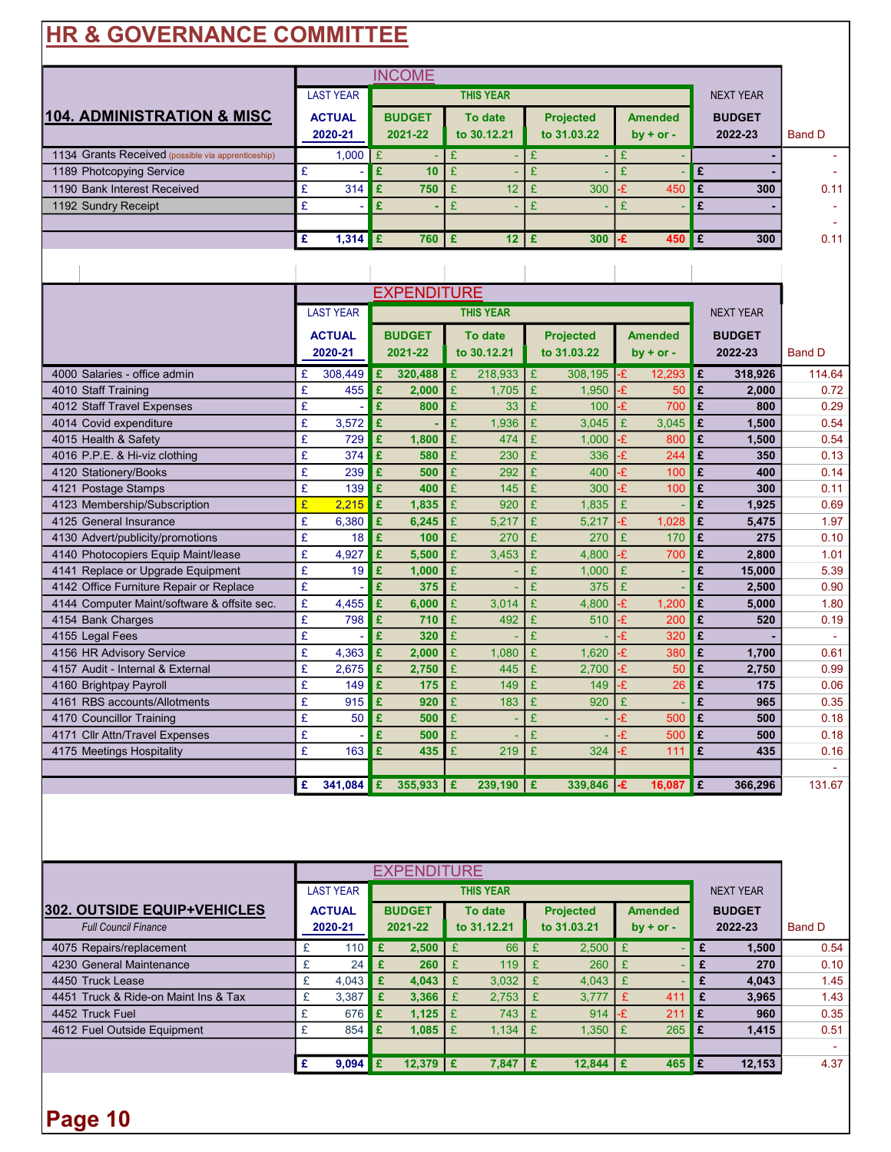## **HR & GOVERNANCE COMMITTEE**

|                                                    |                  |                  | <b>INCOME</b> |  |             |  |                  |  |                |                  |               |               |
|----------------------------------------------------|------------------|------------------|---------------|--|-------------|--|------------------|--|----------------|------------------|---------------|---------------|
|                                                    | <b>LAST YEAR</b> | <b>THIS YEAR</b> |               |  |             |  |                  |  |                | <b>NEXT YEAR</b> |               |               |
| <b>104. ADMINISTRATION &amp; MISC</b>              | <b>ACTUAL</b>    |                  | <b>BUDGET</b> |  | To date     |  | <b>Projected</b> |  | <b>Amended</b> |                  | <b>BUDGET</b> |               |
|                                                    | 2020-21          |                  | 2021-22       |  | to 30.12.21 |  | to 31,03,22      |  | $by + or -$    |                  | 2022-23       | <b>Band D</b> |
| 1134 Grants Received (possible via apprenticeship) | 1,000            | £                | - 1           |  | -           |  |                  |  |                |                  |               | ÷             |
| 1189 Photcopying Service                           | ٥                |                  | 10            |  |             |  |                  |  |                |                  |               | -             |
| 1190 Bank Interest Received                        | 314              | £                | 750           |  | 12          |  | 300              |  | 450            | £                | 300           | 0.11          |
| 1192 Sundry Receipt                                | £<br>۰.          | £                | ۰.            |  |             |  |                  |  |                | £                |               | ۰             |
|                                                    |                  |                  |               |  |             |  |                  |  |                |                  |               | ۰.            |
|                                                    | $1,314$ £<br>£   |                  | $760$ $E$     |  | $12$ $E$    |  | $300$ -£         |  | $450$ $E$      |                  | 300           | 0.11          |
|                                                    |                  |                  |               |  |             |  |                  |  |                |                  |               |               |
|                                                    |                  |                  |               |  |             |  |                  |  |                |                  |               |               |

|                                             |   |                  |   | EXPENDITURE   |   |                  |   |                  |              |                |   |                  |               |
|---------------------------------------------|---|------------------|---|---------------|---|------------------|---|------------------|--------------|----------------|---|------------------|---------------|
|                                             |   | <b>LAST YEAR</b> |   |               |   | <b>THIS YEAR</b> |   |                  |              |                |   | <b>NEXT YEAR</b> |               |
|                                             |   | <b>ACTUAL</b>    |   | <b>BUDGET</b> |   | To date          |   | <b>Projected</b> |              | <b>Amended</b> |   | <b>BUDGET</b>    |               |
|                                             |   | 2020-21          |   | 2021-22       |   | to 30.12.21      |   | to 31.03.22      |              | $by + or -$    |   | 2022-23          | <b>Band D</b> |
| 4000 Salaries - office admin                | £ | 308,449          | £ | 320,488       | £ | 218,933          | £ | 308,195          | ٠£           | 12.293         | £ | 318,926          | 114.64        |
| 4010 Staff Training                         | £ | 455              | £ | 2,000         | £ | 1,705            | £ | 1,950            | £            | 50             | £ | 2,000            | 0.72          |
| 4012 Staff Travel Expenses                  | £ |                  | £ | 800           | £ | 33               | £ | 100              | £            | 700            | £ | 800              | 0.29          |
| 4014 Covid expenditure                      | £ | 3,572            | £ |               | £ | 1,936            | £ | 3,045            | £            | 3,045          | £ | 1.500            | 0.54          |
| 4015 Health & Safety                        | £ | 729              | £ | 1,800         | £ | 474              | £ | 1,000            | £            | 800            | £ | 1,500            | 0.54          |
| 4016 P.P.E. & Hi-viz clothing               | £ | 374              | £ | 580           | £ | 230              | £ | 336              | £            | 244            | £ | 350              | 0.13          |
| 4120 Stationery/Books                       | £ | 239              | £ | 500           | £ | 292              | £ | 400              | £            | 100            | £ | 400              | 0.14          |
| 4121 Postage Stamps                         | £ | 139              | £ | 400           | £ | 145              | £ | 300              | £            | 100            | £ | 300              | 0.11          |
| 4123 Membership/Subscription                | £ | 2,215            | £ | 1,835         | £ | 920              | £ | 1,835            | £            |                | £ | 1.925            | 0.69          |
| 4125 General Insurance                      | £ | 6,380            | £ | 6,245         | £ | 5,217            | £ | 5,217            | £            | 1,028          | £ | 5,475            | 1.97          |
| 4130 Advert/publicity/promotions            | £ | 18               | £ | 100           | £ | 270              | £ | 270              | £            | 170            | £ | 275              | 0.10          |
| 4140 Photocopiers Equip Maint/lease         | £ | 4,927            | £ | 5,500         | £ | 3,453            | £ | 4,800            | £            | 700            | £ | 2,800            | 1.01          |
| 4141 Replace or Upgrade Equipment           | £ | 19               | £ | 1,000         | £ |                  | £ | 1,000            | £            |                | £ | 15,000           | 5.39          |
| 4142 Office Furniture Repair or Replace     | £ |                  | £ | 375           | £ |                  | £ | 375              | £            |                | £ | 2,500            | 0.90          |
| 4144 Computer Maint/software & offsite sec. | £ | 4,455            | £ | 6,000         | £ | 3,014            | £ | 4,800            | £            | 1,200          | £ | 5,000            | 1.80          |
| 4154 Bank Charges                           | £ | 798              | £ | 710           | £ | 492              | £ | 510              | £            | 200            | £ | 520              | 0.19          |
| 4155 Legal Fees                             | £ |                  | £ | 320           | £ |                  | £ |                  | £            | 320            | £ |                  |               |
| 4156 HR Advisory Service                    | £ | 4,363            | £ | 2,000         | £ | 1,080            | £ | 1,620            | £            | 380            | £ | 1,700            | 0.61          |
| 4157 Audit - Internal & External            | £ | 2,675            | £ | 2,750         | £ | 445              | £ | 2,700            | $\mathbf{f}$ | 50             | £ | 2,750            | 0.99          |
| 4160 Brightpay Payroll                      | £ | 149              | £ | 175           | £ | 149              | £ | 149              | £            | 26             | £ | 175              | 0.06          |
| 4161 RBS accounts/Allotments                | £ | 915              | £ | 920           | £ | 183              | £ | 920              | £            |                | £ | 965              | 0.35          |
| 4170 Councillor Training                    | £ | 50               | £ | 500           | £ |                  | £ |                  | £            | 500            | £ | 500              | 0.18          |
| 4171 Cllr Attn/Travel Expenses              | £ |                  | £ | 500           | £ |                  | £ |                  | £            | 500            | £ | 500              | 0.18          |
| 4175 Meetings Hospitality                   | £ | 163              | £ | 435           | £ | 219              | £ | 324              | £            | 111            | £ | 435              | 0.16          |
|                                             |   |                  |   |               |   |                  |   |                  |              |                |   |                  |               |
|                                             | £ | 341,084          | Æ | 355,933       | £ | 239,190          | £ | 339,846          | Æ.           | 16,087         | £ | 366,296          | 131.67        |

|                                      |                  |     |     | <b>EXPENDITURE</b> |   |                  |                  |              |                |   |                  |               |
|--------------------------------------|------------------|-----|-----|--------------------|---|------------------|------------------|--------------|----------------|---|------------------|---------------|
|                                      | <b>LAST YEAR</b> |     |     |                    |   | <b>THIS YEAR</b> |                  |              |                |   | <b>NEXT YEAR</b> |               |
| <b>1302. OUTSIDE EQUIP+VEHICLES</b>  | <b>ACTUAL</b>    |     |     | <b>BUDGET</b>      |   | To date          | <b>Projected</b> |              | <b>Amended</b> |   | <b>BUDGET</b>    |               |
| <b>Full Council Finance</b>          | 2020-21          |     |     | 2021-22            |   | to 31.12.21      | to 31.03.21      |              | $by + or -$    |   | 2022-23          | <b>Band D</b> |
| 4075 Repairs/replacement             | £                | 110 | £   | 2.500              | £ | 66               | 2.500            | $\mathbf{f}$ |                | £ | 1,500            | 0.54          |
| 4230 General Maintenance             | £                | 24  | Ι£  | 260                |   | 119              | 260              |              |                | £ | 270              | 0.10          |
| 4450 Truck Lease                     | 4.043<br>£       |     | £   | 4.043              |   | 3,032            | 4,043            |              |                | £ | 4,043            | 1.45          |
| 4451 Truck & Ride-on Maint Ins & Tax | 3,387<br>£       |     | £   | 3.366              | £ | 2,753            | 3.777            |              | 411            | £ | 3,965            | 1.43          |
| 4452 Truck Fuel                      |                  | 676 | l £ | 1.125              |   | 743              | 914              | -£           | 211            |   | 960              | 0.35          |
| 4612 Fuel Outside Equipment          |                  | 854 | l £ | 1,085              |   | 1,134            | 1,350            |              | 265            |   | 1,415            | 0.51          |
|                                      |                  |     |     |                    |   |                  |                  |              |                |   |                  | <b>.</b>      |
|                                      | $9,094$ E        |     |     | $12,379$ $E$       |   | 7,847 E          | $12,844$   £     |              | 465            |   | 12,153           | 4.37          |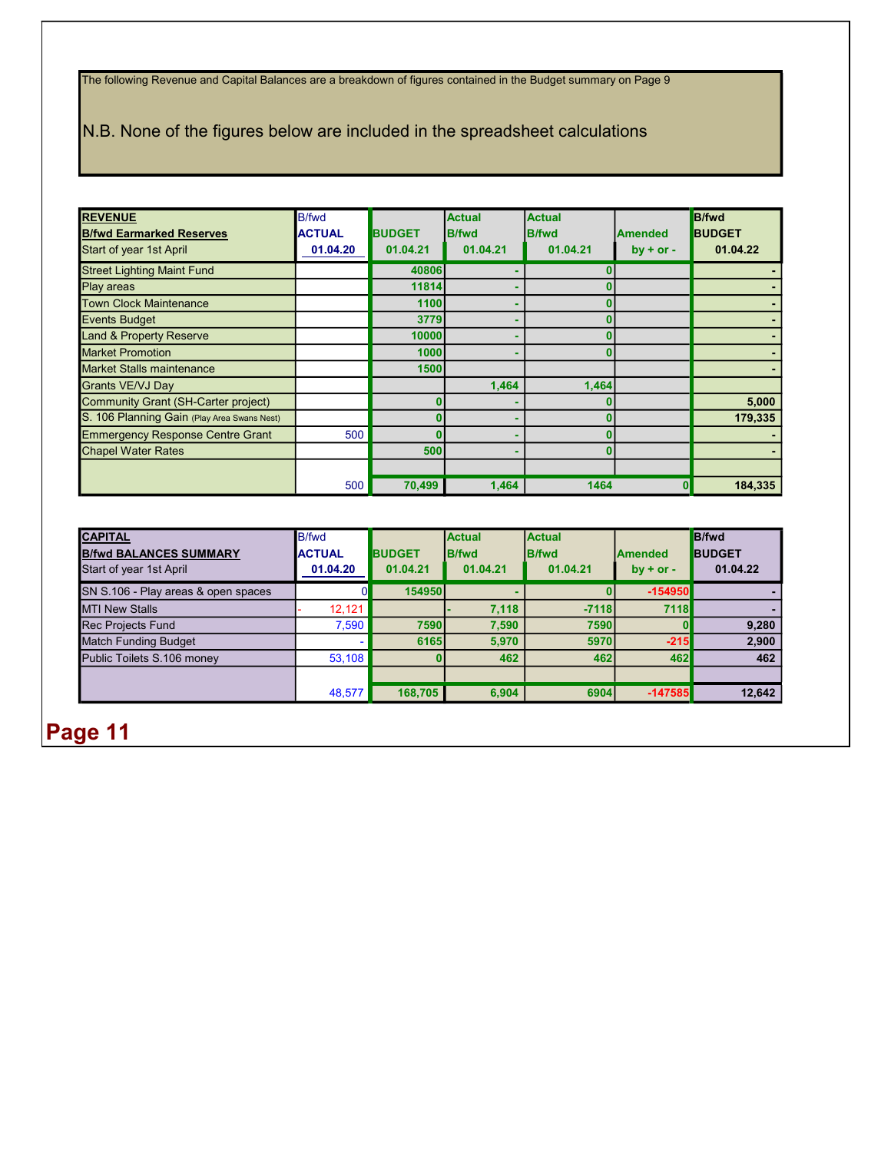The following Revenue and Capital Balances are a breakdown of figures contained in the Budget summary on Page 9

#### N.B. None of the figures below are included in the spreadsheet calculations

| <b>REVENUE</b>                              | <b>B/fwd</b>  |               | <b>Actual</b> | <b>Actual</b> |                | <b>B</b> /fwd |
|---------------------------------------------|---------------|---------------|---------------|---------------|----------------|---------------|
| <b>B/fwd Earmarked Reserves</b>             | <b>ACTUAL</b> | <b>BUDGET</b> | <b>B</b> /fwd | <b>B/fwd</b>  | <b>Amended</b> | <b>BUDGET</b> |
| Start of year 1st April                     | 01.04.20      | 01.04.21      | 01.04.21      | 01.04.21      | $by + or -$    | 01.04.22      |
| <b>Street Lighting Maint Fund</b>           |               | 40806         |               |               |                |               |
| <b>Play areas</b>                           |               | 11814         |               |               |                |               |
| <b>Town Clock Maintenance</b>               |               | 1100          |               |               |                |               |
| <b>Events Budget</b>                        |               | 3779          |               |               |                |               |
| <b>Land &amp; Property Reserve</b>          |               | 10000         |               |               |                |               |
| <b>Market Promotion</b>                     |               | 1000          |               |               |                |               |
| <b>Market Stalls maintenance</b>            |               | 1500          |               |               |                |               |
| <b>Grants VE/VJ Day</b>                     |               |               | 1,464         | 1,464         |                |               |
| Community Grant (SH-Carter project)         |               |               |               |               |                | 5,000         |
| S. 106 Planning Gain (Play Area Swans Nest) |               |               |               |               |                | 179,335       |
| <b>Emmergency Response Centre Grant</b>     | 500           | o             |               | n             |                |               |
| <b>Chapel Water Rates</b>                   |               | 500           |               | 0             |                |               |
|                                             |               |               |               |               |                |               |
|                                             | 500           | 70,499        | 1,464         | 1464          | 0              | 184,335       |

| <b>CAPITAL</b><br><b>B/fwd BALANCES SUMMARY</b><br>Start of year 1st April | <b>B/fwd</b><br><b>ACTUAL</b><br>01.04.20 | <b>BUDGET</b><br>01.04.21 | <b>Actual</b><br><b>B</b> /fwd<br>01.04.21 | <b>Actual</b><br><b>B</b> /fwd<br>01.04.21 | <b>Amended</b><br>$by + or -$ | <b>B</b> /fwd<br><b>BUDGET</b><br>01.04.22 |
|----------------------------------------------------------------------------|-------------------------------------------|---------------------------|--------------------------------------------|--------------------------------------------|-------------------------------|--------------------------------------------|
| SN S.106 - Play areas & open spaces                                        |                                           | 154950                    |                                            |                                            | $-154950$                     |                                            |
| <b>MTI New Stalls</b>                                                      | 12,121                                    |                           | 7.118                                      | $-7118$                                    | 7118                          |                                            |
| <b>Rec Projects Fund</b>                                                   | 7.590                                     | 7590                      | 7.590                                      | 7590                                       |                               | 9,280                                      |
| <b>Match Funding Budget</b>                                                |                                           | 6165                      | 5,970                                      | 5970                                       | $-215$                        | 2,900                                      |
| Public Toilets S.106 money                                                 | 53,108                                    |                           | 462                                        | 462                                        | 462                           | 462                                        |
|                                                                            |                                           |                           |                                            |                                            |                               |                                            |
|                                                                            | 48,577                                    | 168,705                   | 6,904                                      | 6904                                       | $-147585$                     | 12,642                                     |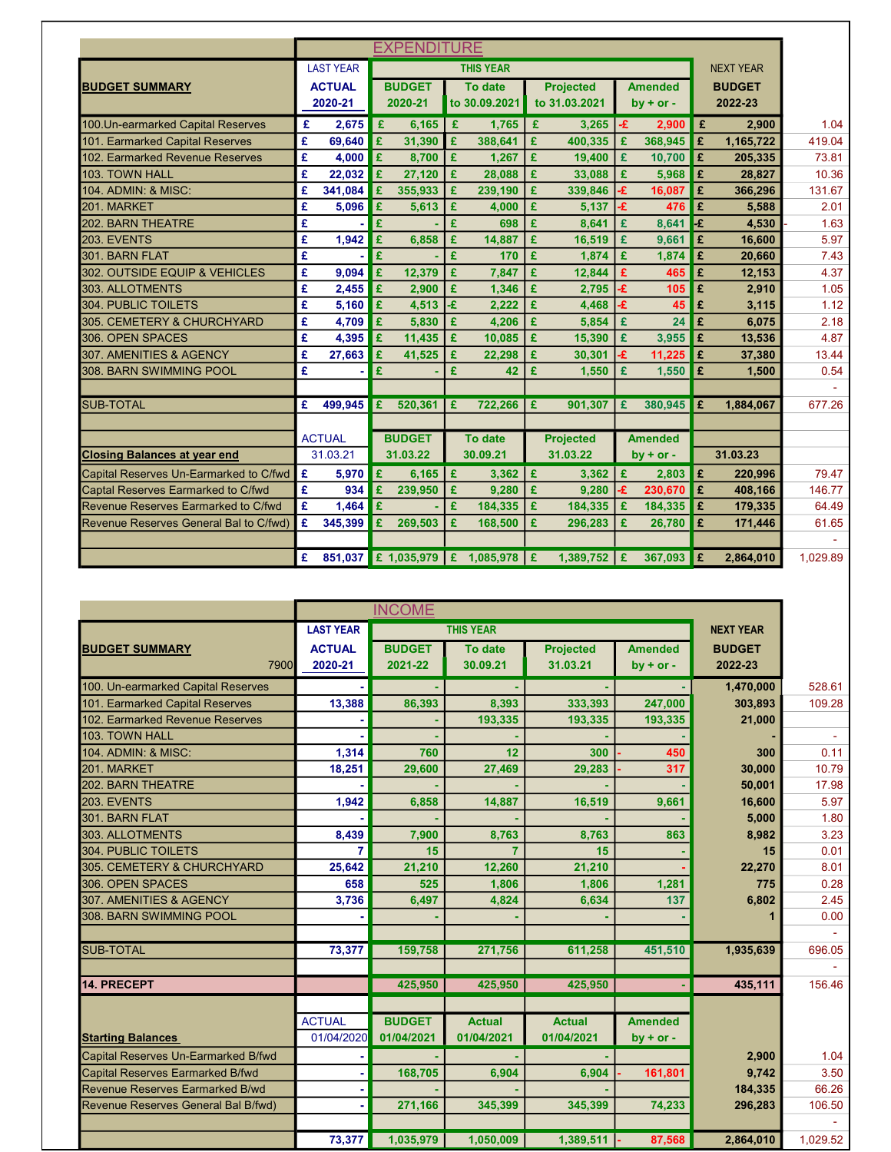|                                        |                  | <b>EXPENDITURE</b>  |                  |                  |                |                  |          |
|----------------------------------------|------------------|---------------------|------------------|------------------|----------------|------------------|----------|
|                                        | <b>LAST YEAR</b> |                     | <b>THIS YEAR</b> |                  |                | <b>NEXT YEAR</b> |          |
| <b>BUDGET SUMMARY</b>                  | <b>ACTUAL</b>    | <b>BUDGET</b>       | <b>To date</b>   | <b>Projected</b> | <b>Amended</b> | <b>BUDGET</b>    |          |
|                                        | 2020-21          | 2020-21             | to 30.09.2021    | to 31.03.2021    | $by + or -$    | 2022-23          |          |
| 100. Un-earmarked Capital Reserves     | 2,675<br>£       | £<br>6,165          | £<br>1,765       | £<br>3,265       | £<br>2.900     | Ŀ<br>2,900       | 1.04     |
| 101. Earmarked Capital Reserves        | £<br>69.640      | £<br>31,390         | £<br>388,641     | £<br>400,335     | 368,945<br>£   | £<br>1,165,722   | 419.04   |
| 102. Earmarked Revenue Reserves        | £<br>4.000       | £<br>8.700          | £<br>1.267       | £<br>19,400      | £<br>10,700    | £<br>205,335     | 73.81    |
| 103. TOWN HALL                         | £<br>22,032      | £<br>27,120         | £<br>28,088      | £<br>33.088      | £<br>5,968     | £<br>28,827      | 10.36    |
| 104. ADMIN: & MISC:                    | £<br>341.084     | 355,933<br>£        | £<br>239,190     | £<br>339,846     | 16,087<br>£    | £<br>366,296     | 131.67   |
| 201. MARKET                            | £<br>5.096       | £<br>5.613          | £<br>4,000       | £<br>5.137       | £<br>476       | £<br>5,588       | 2.01     |
| 202. BARN THEATRE                      | £                | £                   | £<br>698         | £<br>8.641       | £<br>8,641     | ŀ£<br>4,530      | 1.63     |
| 203. EVENTS                            | £<br>1,942       | £<br>6,858          | £<br>14,887      | £<br>16,519      | £<br>9,661     | £<br>16,600      | 5.97     |
| 301. BARN FLAT                         | £                | £                   | £<br>170         | £<br>1.874       | £<br>1,874     | £<br>20,660      | 7.43     |
| 302. OUTSIDE EQUIP & VEHICLES          | £<br>9.094       | £<br>12,379         | £<br>7,847       | £<br>12,844      | £<br>465       | £<br>12,153      | 4.37     |
| 303. ALLOTMENTS                        | £<br>2,455       | £<br>2,900          | £<br>1,346       | £<br>2,795       | £<br>105       | £<br>2,910       | 1.05     |
| 304. PUBLIC TOILETS                    | £<br>5,160       | £<br>4,513          | Æ<br>2,222       | £<br>4,468       | £<br>45        | 3,115<br>£       | 1.12     |
| 305. CEMETERY & CHURCHYARD             | £<br>4,709       | £<br>5,830          | £<br>4,206       | £<br>5,854       | £<br>24        | £<br>6,075       | 2.18     |
| 306. OPEN SPACES                       | £<br>4,395       | £<br>11,435         | £<br>10,085      | £<br>15,390      | £<br>3,955     | £<br>13,536      | 4.87     |
| 307. AMENITIES & AGENCY                | £<br>27,663      | £<br>41,525         | £<br>22,298      | £<br>30,301      | £<br>11,225    | £<br>37,380      | 13.44    |
| 308. BARN SWIMMING POOL                | £                | £                   | £<br>42          | £<br>1,550       | £<br>1,550     | £<br>1,500       | 0.54     |
|                                        |                  |                     |                  |                  |                |                  |          |
| <b>SUB-TOTAL</b>                       | 499.945<br>£     | £<br>520,361        | £<br>722,266     | £<br>901,307     | 380.945<br>£   | Ŀ<br>1,884,067   | 677.26   |
|                                        |                  |                     |                  |                  |                |                  |          |
|                                        | <b>ACTUAL</b>    | <b>BUDGET</b>       | <b>To date</b>   | <b>Projected</b> | <b>Amended</b> |                  |          |
| <b>Closing Balances at year end</b>    | 31.03.21         | 31.03.22            | 30.09.21         | 31.03.22         | by $+$ or $-$  | 31.03.23         |          |
| Capital Reserves Un-Earmarked to C/fwd | £<br>5,970       | £<br>6,165          | £<br>3,362       | £<br>3,362       | £<br>2,803     | £<br>220,996     | 79.47    |
| Captal Reserves Earmarked to C/fwd     | £<br>934         | £<br>239,950        | £<br>9,280       | £<br>9,280       | 230,670<br>£   | £<br>408,166     | 146.77   |
| Revenue Reserves Earmarked to C/fwd    | £<br>1,464       | £                   | £<br>184,335     | £<br>184,335     | £<br>184,335   | £<br>179,335     | 64.49    |
| Revenue Reserves General Bal to C/fwd) | £<br>345,399     | £<br>269,503        | £<br>168,500     | £<br>296,283     | £<br>26,780    | £<br>171,446     | 61.65    |
|                                        |                  |                     |                  |                  |                |                  |          |
|                                        | £                | 851,037 £ 1,035,979 | $E$ 1.085.978    | £<br>1,389,752   | 367,093<br>£   | Ŀ<br>2,864,010   | 1,029.89 |

|                                     |                  | <b>INCOME</b> |                  |                  |                |                  |          |
|-------------------------------------|------------------|---------------|------------------|------------------|----------------|------------------|----------|
|                                     | <b>LAST YEAR</b> |               | <b>THIS YEAR</b> |                  |                | <b>NEXT YEAR</b> |          |
| <b>BUDGET SUMMARY</b>               | <b>ACTUAL</b>    | <b>BUDGET</b> | <b>To date</b>   | <b>Projected</b> | <b>Amended</b> | <b>BUDGET</b>    |          |
| 7900                                | 2020-21          | 2021-22       | 30.09.21         | 31.03.21         | $by + or -$    | 2022-23          |          |
| 100. Un-earmarked Capital Reserves  |                  |               |                  |                  |                | 1,470,000        | 528.61   |
| 101. Earmarked Capital Reserves     | 13,388           | 86,393        | 8,393            | 333,393          | 247,000        | 303,893          | 109.28   |
| 102. Earmarked Revenue Reserves     |                  |               | 193,335          | 193,335          | 193,335        | 21,000           |          |
| 103. TOWN HALL                      |                  |               |                  |                  |                |                  |          |
| 104. ADMIN: & MISC:                 | 1,314            | 760           | 12               | 300              | 450            | 300              | 0.11     |
| 201. MARKET                         | 18,251           | 29,600        | 27,469           | 29,283           | 317            | 30,000           | 10.79    |
| <b>202. BARN THEATRE</b>            |                  |               |                  |                  |                | 50,001           | 17.98    |
| 203. EVENTS                         | 1,942            | 6,858         | 14,887           | 16,519           | 9,661          | 16,600           | 5.97     |
| 301. BARN FLAT                      |                  |               |                  |                  |                | 5,000            | 1.80     |
| 303. ALLOTMENTS                     | 8,439            | 7,900         | 8,763            | 8,763            | 863            | 8,982            | 3.23     |
| 304. PUBLIC TOILETS                 | 7                | 15            | 7                | 15               |                | 15               | 0.01     |
| 305. CEMETERY & CHURCHYARD          | 25,642           | 21,210        | 12,260           | 21,210           |                | 22,270           | 8.01     |
| 306. OPEN SPACES                    | 658              | 525           | 1,806            | 1,806            | 1,281          | 775              | 0.28     |
| 307. AMENITIES & AGENCY             | 3,736            | 6,497         | 4,824            | 6,634            | 137            | 6,802            | 2.45     |
| 308. BARN SWIMMING POOL             |                  |               |                  |                  |                |                  | 0.00     |
|                                     |                  |               |                  |                  |                |                  |          |
| <b>SUB-TOTAL</b>                    | 73,377           | 159,758       | 271,756          | 611,258          | 451,510        | 1,935,639        | 696.05   |
|                                     |                  |               |                  |                  |                |                  |          |
| 14. PRECEPT                         |                  | 425,950       | 425,950          | 425,950          |                | 435,111          | 156.46   |
|                                     |                  |               |                  |                  |                |                  |          |
|                                     | <b>ACTUAL</b>    | <b>BUDGET</b> | <b>Actual</b>    | <b>Actual</b>    | <b>Amended</b> |                  |          |
| <b>Starting Balances</b>            | 01/04/2020       | 01/04/2021    | 01/04/2021       | 01/04/2021       | $by + or -$    |                  |          |
| Capital Reserves Un-Earmarked B/fwd |                  |               |                  |                  |                | 2,900            | 1.04     |
| Capital Reserves Earmarked B/fwd    |                  | 168,705       | 6,904            | 6,904            | 161,801        | 9,742            | 3.50     |
| Revenue Reserves Earmarked B/wd     |                  |               |                  |                  |                | 184,335          | 66.26    |
| Revenue Reserves General Bal B/fwd) |                  | 271,166       | 345,399          | 345,399          | 74,233         | 296,283          | 106.50   |
|                                     |                  |               |                  |                  |                |                  |          |
|                                     | 73,377           | 1,035,979     | 1,050,009        | 1,389,511        | 87,568         | 2,864,010        | 1.029.52 |